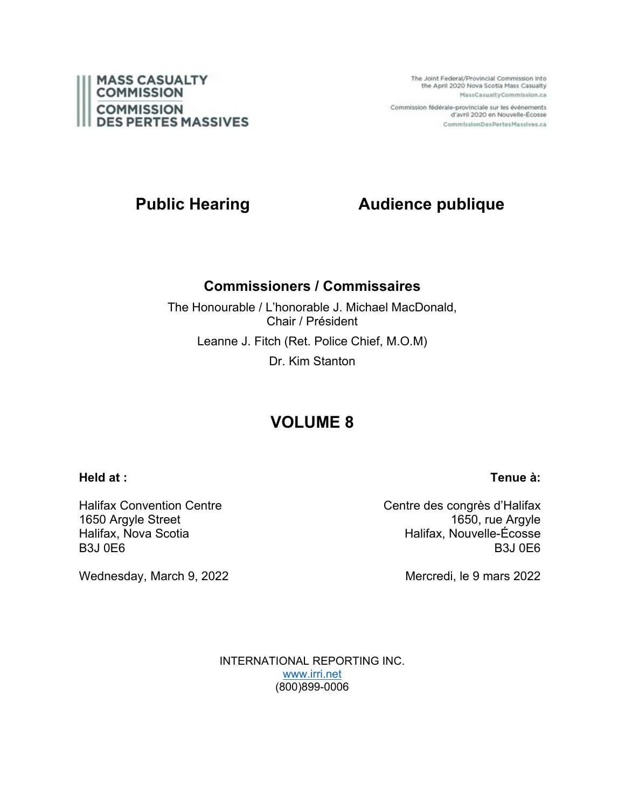

The Joint Federal/Provincial Commission into the April 2020 Nova Scotia Mass Casualty MassCasualtyCommission.ca

Commission fédérale-provinciale sur les événements d'avril 2020 en Nouvelle-Écosse CommissionDesPertesMassives.ca

# **Public Hearing Audience publique**

## **Commissioners / Commissaires**

The Honourable / L'honorable J. Michael MacDonald, Chair / Président Leanne J. Fitch (Ret. Police Chief, M.O.M) Dr. Kim Stanton

# **VOLUME 8**

### **Held at :**

Halifax Convention Centre 1650 Argyle Street Halifax, Nova Scotia B3J 0E6

Wednesday, March 9, 2022

Centre des congrès d'Halifax 1650, rue Argyle Halifax, Nouvelle-Écosse B3J 0E6

Mercredi, le 9 mars 2022

INTERNATIONAL REPORTING INC. [www.irri.net](http://www.irri.net/) (800)899-0006

### **Tenue à:**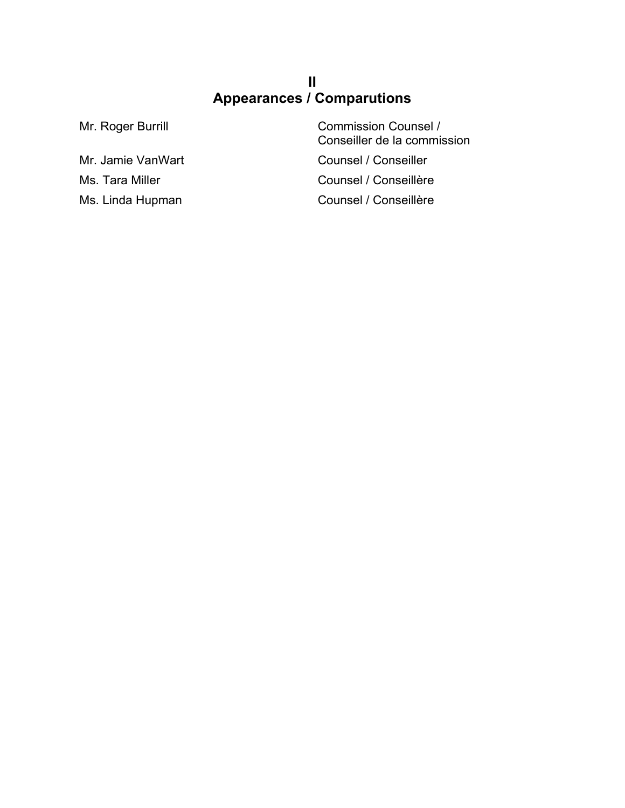## **II Appearances / Comparutions**

Mr. Roger Burrill **Commission Counsel /** Conseiller de la commission Mr. Jamie VanWart Counsel / Conseiller Ms. Tara Miller Counsel / Conseillère Ms. Linda Hupman Counsel / Conseillère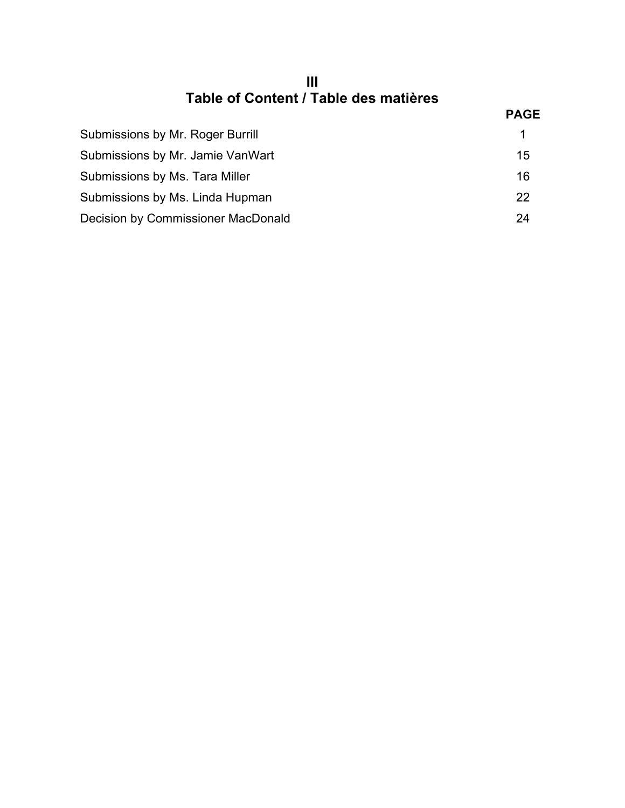| Ш                                     |
|---------------------------------------|
| Table of Content / Table des matières |
|                                       |

|                                    | <b>PAGE</b> |
|------------------------------------|-------------|
| Submissions by Mr. Roger Burrill   | 1.          |
| Submissions by Mr. Jamie VanWart   | 15          |
| Submissions by Ms. Tara Miller     | 16          |
| Submissions by Ms. Linda Hupman    | 22          |
| Decision by Commissioner MacDonald | 24          |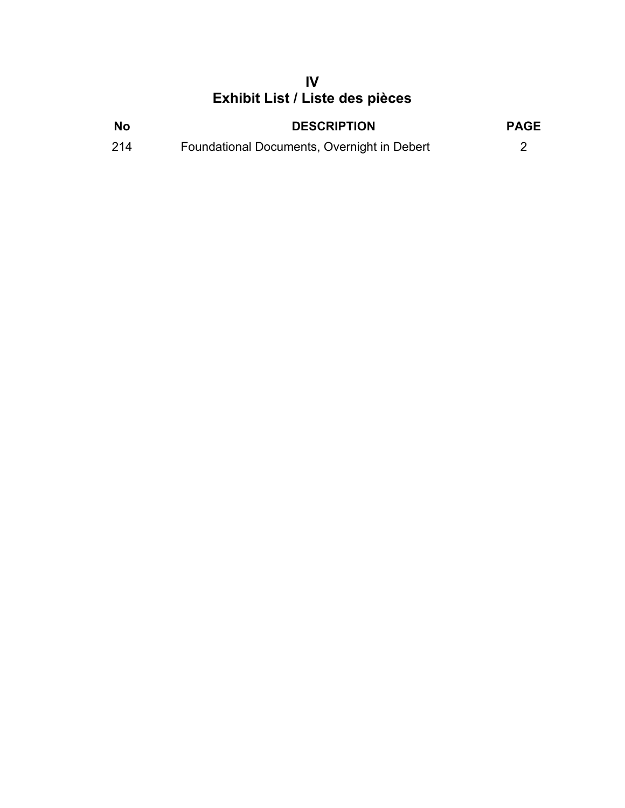# **IV Exhibit List / Liste des pièces**

| <b>No</b> | <b>DESCRIPTION</b>                          | <b>PAGE</b> |
|-----------|---------------------------------------------|-------------|
| 214       | Foundational Documents, Overnight in Debert |             |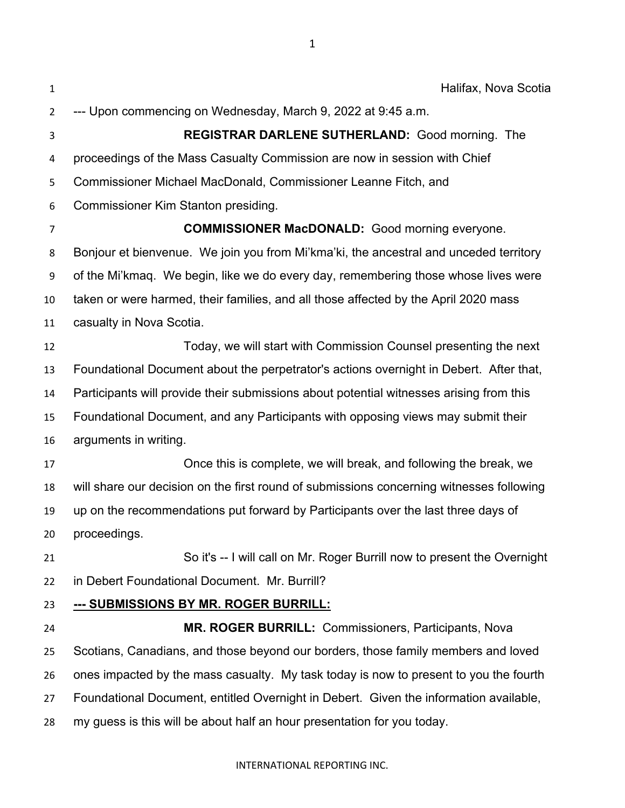| $\mathbf{1}$   | Halifax, Nova Scotia                                                                     |
|----------------|------------------------------------------------------------------------------------------|
| 2              | --- Upon commencing on Wednesday, March 9, 2022 at 9:45 a.m.                             |
| 3              | REGISTRAR DARLENE SUTHERLAND: Good morning. The                                          |
| 4              | proceedings of the Mass Casualty Commission are now in session with Chief                |
| 5              | Commissioner Michael MacDonald, Commissioner Leanne Fitch, and                           |
| 6              | Commissioner Kim Stanton presiding.                                                      |
| $\overline{7}$ | <b>COMMISSIONER MacDONALD:</b> Good morning everyone.                                    |
| 8              | Bonjour et bienvenue. We join you from Mi'kma'ki, the ancestral and unceded territory    |
| 9              | of the Mi'kmaq. We begin, like we do every day, remembering those whose lives were       |
| 10             | taken or were harmed, their families, and all those affected by the April 2020 mass      |
| 11             | casualty in Nova Scotia.                                                                 |
| 12             | Today, we will start with Commission Counsel presenting the next                         |
| 13             | Foundational Document about the perpetrator's actions overnight in Debert. After that,   |
| 14             | Participants will provide their submissions about potential witnesses arising from this  |
| 15             | Foundational Document, and any Participants with opposing views may submit their         |
| 16             | arguments in writing.                                                                    |
| 17             | Once this is complete, we will break, and following the break, we                        |
| 18             | will share our decision on the first round of submissions concerning witnesses following |
| 19             | up on the recommendations put forward by Participants over the last three days of        |
| 20             | proceedings.                                                                             |
| 21             | So it's -- I will call on Mr. Roger Burrill now to present the Overnight                 |
| 22             | in Debert Foundational Document. Mr. Burrill?                                            |
| 23             | <u>--- SUBMISSIONS BY MR. ROGER BURRILL:</u>                                             |
| 24             | <b>MR. ROGER BURRILL: Commissioners, Participants, Noval</b>                             |
| 25             | Scotians, Canadians, and those beyond our borders, those family members and loved        |
| 26             | ones impacted by the mass casualty. My task today is now to present to you the fourth    |
| 27             | Foundational Document, entitled Overnight in Debert. Given the information available,    |
| 28             | my guess is this will be about half an hour presentation for you today.                  |
|                |                                                                                          |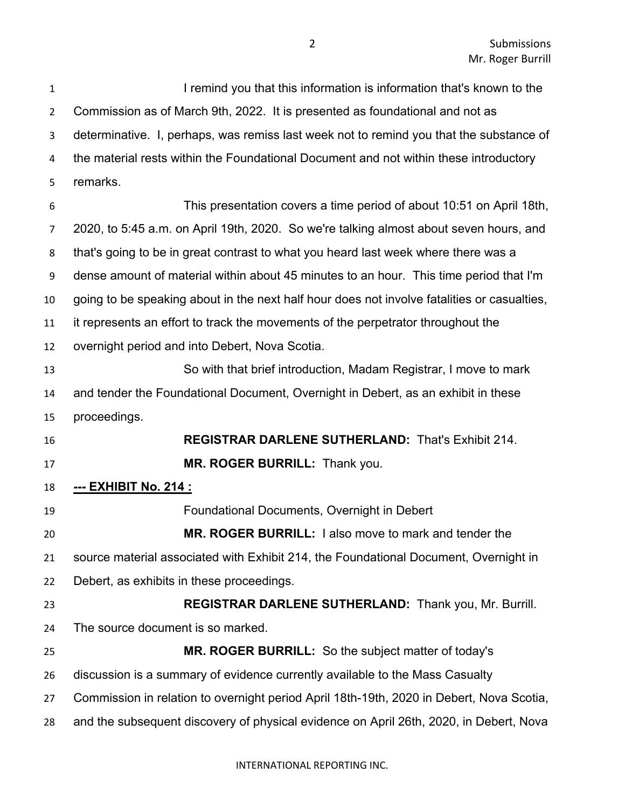**I remind you that this information is information that's known to the**  Commission as of March 9th, 2022. It is presented as foundational and not as determinative. I, perhaps, was remiss last week not to remind you that the substance of the material rests within the Foundational Document and not within these introductory remarks. This presentation covers a time period of about 10:51 on April 18th, 2020, to 5:45 a.m. on April 19th, 2020. So we're talking almost about seven hours, and that's going to be in great contrast to what you heard last week where there was a dense amount of material within about 45 minutes to an hour. This time period that I'm going to be speaking about in the next half hour does not involve fatalities or casualties, it represents an effort to track the movements of the perpetrator throughout the overnight period and into Debert, Nova Scotia. So with that brief introduction, Madam Registrar, I move to mark and tender the Foundational Document, Overnight in Debert, as an exhibit in these proceedings. **REGISTRAR DARLENE SUTHERLAND:** That's Exhibit 214. **MR. ROGER BURRILL:** Thank you. **--- EXHIBIT No. 214 :** Foundational Documents, Overnight in Debert **MR. ROGER BURRILL:** I also move to mark and tender the source material associated with Exhibit 214, the Foundational Document, Overnight in Debert, as exhibits in these proceedings. **REGISTRAR DARLENE SUTHERLAND:** Thank you, Mr. Burrill. The source document is so marked. **MR. ROGER BURRILL:** So the subject matter of today's discussion is a summary of evidence currently available to the Mass Casualty Commission in relation to overnight period April 18th-19th, 2020 in Debert, Nova Scotia, and the subsequent discovery of physical evidence on April 26th, 2020, in Debert, Nova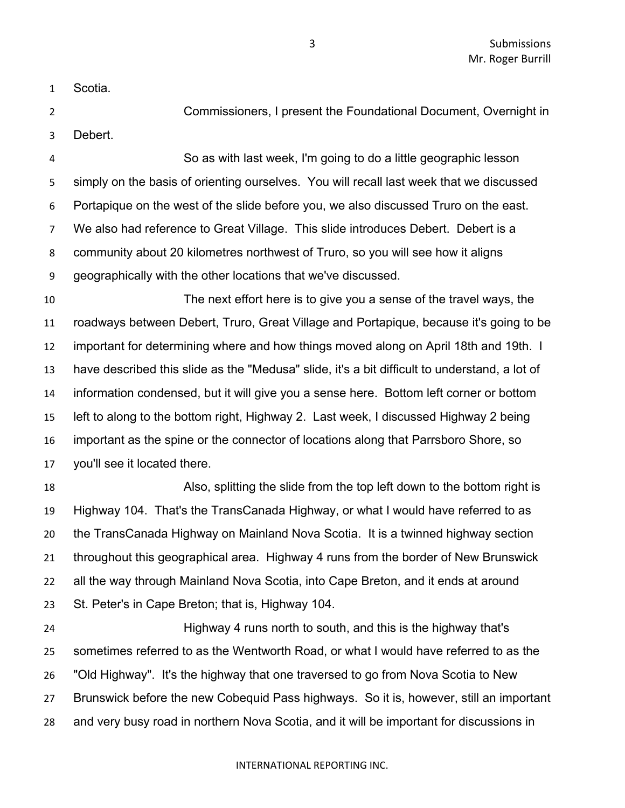Scotia.

 Commissioners, I present the Foundational Document, Overnight in Debert.

 So as with last week, I'm going to do a little geographic lesson simply on the basis of orienting ourselves. You will recall last week that we discussed Portapique on the west of the slide before you, we also discussed Truro on the east. We also had reference to Great Village. This slide introduces Debert. Debert is a community about 20 kilometres northwest of Truro, so you will see how it aligns geographically with the other locations that we've discussed.

 The next effort here is to give you a sense of the travel ways, the roadways between Debert, Truro, Great Village and Portapique, because it's going to be important for determining where and how things moved along on April 18th and 19th. I have described this slide as the "Medusa" slide, it's a bit difficult to understand, a lot of information condensed, but it will give you a sense here. Bottom left corner or bottom left to along to the bottom right, Highway 2. Last week, I discussed Highway 2 being important as the spine or the connector of locations along that Parrsboro Shore, so you'll see it located there.

 Also, splitting the slide from the top left down to the bottom right is Highway 104. That's the TransCanada Highway, or what I would have referred to as the TransCanada Highway on Mainland Nova Scotia. It is a twinned highway section throughout this geographical area. Highway 4 runs from the border of New Brunswick all the way through Mainland Nova Scotia, into Cape Breton, and it ends at around St. Peter's in Cape Breton; that is, Highway 104.

 Highway 4 runs north to south, and this is the highway that's sometimes referred to as the Wentworth Road, or what I would have referred to as the "Old Highway". It's the highway that one traversed to go from Nova Scotia to New Brunswick before the new Cobequid Pass highways. So it is, however, still an important and very busy road in northern Nova Scotia, and it will be important for discussions in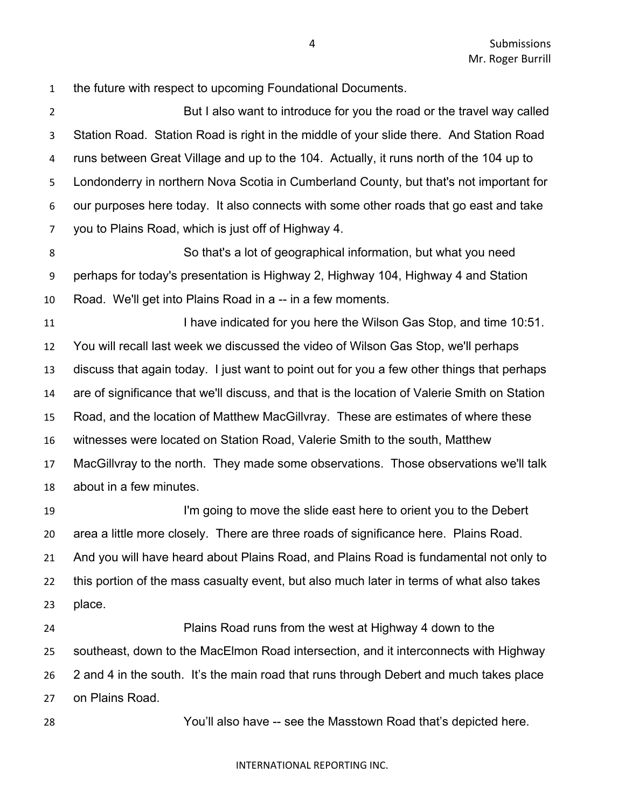the future with respect to upcoming Foundational Documents.

 But I also want to introduce for you the road or the travel way called Station Road. Station Road is right in the middle of your slide there. And Station Road runs between Great Village and up to the 104. Actually, it runs north of the 104 up to Londonderry in northern Nova Scotia in Cumberland County, but that's not important for our purposes here today. It also connects with some other roads that go east and take you to Plains Road, which is just off of Highway 4.

 So that's a lot of geographical information, but what you need perhaps for today's presentation is Highway 2, Highway 104, Highway 4 and Station Road. We'll get into Plains Road in a -- in a few moments.

**I have indicated for you here the Wilson Gas Stop, and time 10:51.**  You will recall last week we discussed the video of Wilson Gas Stop, we'll perhaps discuss that again today. I just want to point out for you a few other things that perhaps are of significance that we'll discuss, and that is the location of Valerie Smith on Station Road, and the location of Matthew MacGillvray. These are estimates of where these witnesses were located on Station Road, Valerie Smith to the south, Matthew MacGillvray to the north. They made some observations. Those observations we'll talk about in a few minutes.

 I'm going to move the slide east here to orient you to the Debert area a little more closely. There are three roads of significance here. Plains Road. And you will have heard about Plains Road, and Plains Road is fundamental not only to this portion of the mass casualty event, but also much later in terms of what also takes place.

 Plains Road runs from the west at Highway 4 down to the southeast, down to the MacElmon Road intersection, and it interconnects with Highway 2 and 4 in the south. It's the main road that runs through Debert and much takes place on Plains Road.

You'll also have -- see the Masstown Road that's depicted here.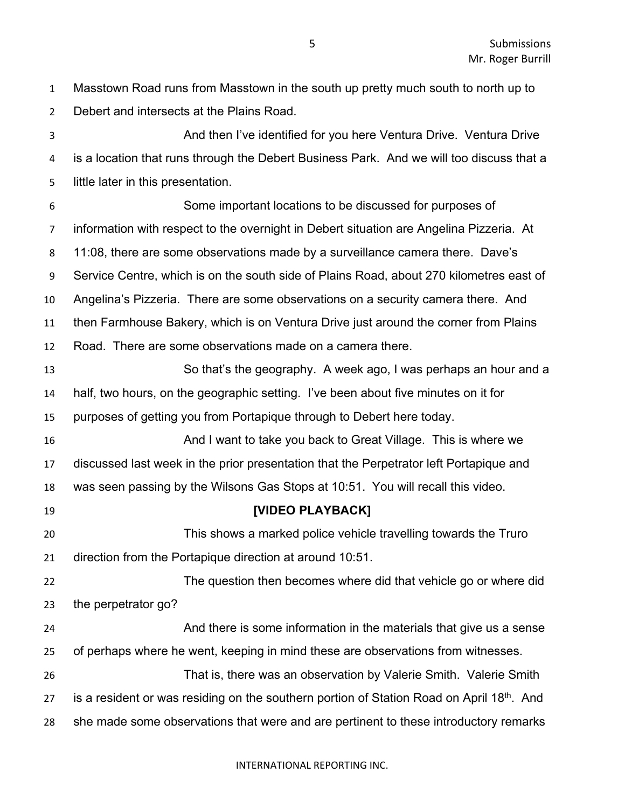Masstown Road runs from Masstown in the south up pretty much south to north up to Debert and intersects at the Plains Road.

 And then I've identified for you here Ventura Drive. Ventura Drive is a location that runs through the Debert Business Park. And we will too discuss that a little later in this presentation. Some important locations to be discussed for purposes of information with respect to the overnight in Debert situation are Angelina Pizzeria. At 11:08, there are some observations made by a surveillance camera there. Dave's Service Centre, which is on the south side of Plains Road, about 270 kilometres east of Angelina's Pizzeria. There are some observations on a security camera there. And then Farmhouse Bakery, which is on Ventura Drive just around the corner from Plains Road. There are some observations made on a camera there. So that's the geography. A week ago, I was perhaps an hour and a half, two hours, on the geographic setting. I've been about five minutes on it for purposes of getting you from Portapique through to Debert here today. **And I want to take you back to Great Village.** This is where we discussed last week in the prior presentation that the Perpetrator left Portapique and was seen passing by the Wilsons Gas Stops at 10:51. You will recall this video. **[VIDEO PLAYBACK]** This shows a marked police vehicle travelling towards the Truro direction from the Portapique direction at around 10:51. The question then becomes where did that vehicle go or where did the perpetrator go? And there is some information in the materials that give us a sense of perhaps where he went, keeping in mind these are observations from witnesses. That is, there was an observation by Valerie Smith. Valerie Smith 27 is a resident or was residing on the southern portion of Station Road on April 18<sup>th</sup>. And she made some observations that were and are pertinent to these introductory remarks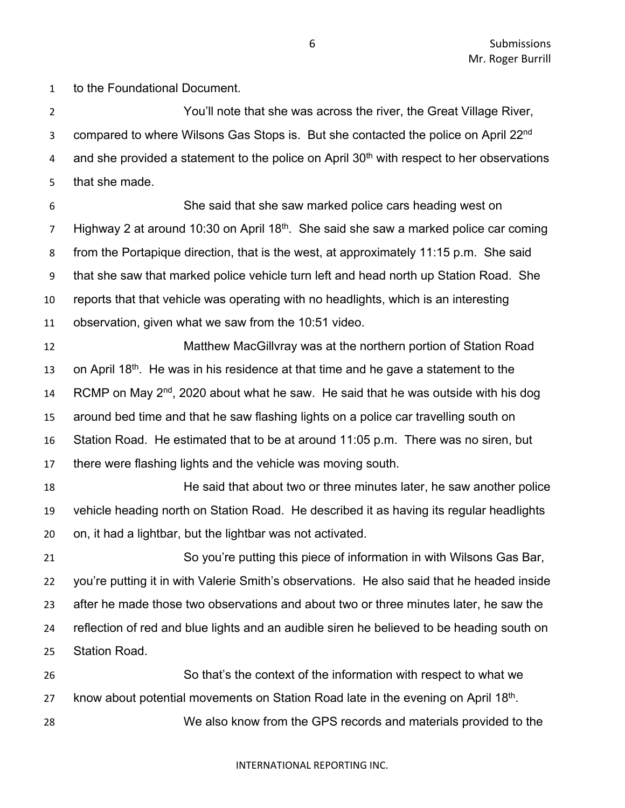to the Foundational Document.

 You'll note that she was across the river, the Great Village River, 3 compared to where Wilsons Gas Stops is. But she contacted the police on April 22<sup>nd</sup> a and she provided a statement to the police on April  $30<sup>th</sup>$  with respect to her observations that she made.

 She said that she saw marked police cars heading west on  $\mu$  Highway 2 at around 10:30 on April 18<sup>th</sup>. She said she saw a marked police car coming from the Portapique direction, that is the west, at approximately 11:15 p.m. She said that she saw that marked police vehicle turn left and head north up Station Road. She reports that that vehicle was operating with no headlights, which is an interesting observation, given what we saw from the 10:51 video.

 Matthew MacGillvray was at the northern portion of Station Road 13 on April 18<sup>th</sup>. He was in his residence at that time and he gave a statement to the 14 RCMP on May  $2^{nd}$ , 2020 about what he saw. He said that he was outside with his dog around bed time and that he saw flashing lights on a police car travelling south on Station Road. He estimated that to be at around 11:05 p.m. There was no siren, but there were flashing lights and the vehicle was moving south.

 He said that about two or three minutes later, he saw another police vehicle heading north on Station Road. He described it as having its regular headlights on, it had a lightbar, but the lightbar was not activated.

 So you're putting this piece of information in with Wilsons Gas Bar, you're putting it in with Valerie Smith's observations. He also said that he headed inside after he made those two observations and about two or three minutes later, he saw the reflection of red and blue lights and an audible siren he believed to be heading south on Station Road.

 So that's the context of the information with respect to what we 27 know about potential movements on Station Road late in the evening on April  $18<sup>th</sup>$ . We also know from the GPS records and materials provided to the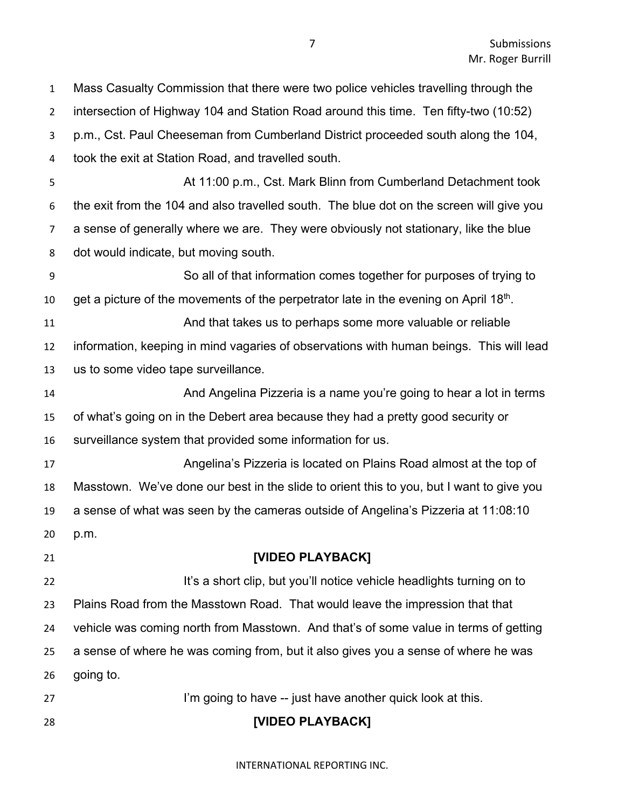| $\overline{2}$ | intersection of Highway 104 and Station Road around this time. Ten fifty-two (10:52)     |
|----------------|------------------------------------------------------------------------------------------|
| 3              | p.m., Cst. Paul Cheeseman from Cumberland District proceeded south along the 104,        |
| 4              | took the exit at Station Road, and travelled south.                                      |
| 5              | At 11:00 p.m., Cst. Mark Blinn from Cumberland Detachment took                           |
| 6              | the exit from the 104 and also travelled south. The blue dot on the screen will give you |
| 7              | a sense of generally where we are. They were obviously not stationary, like the blue     |
| 8              | dot would indicate, but moving south.                                                    |
| 9              | So all of that information comes together for purposes of trying to                      |
| 10             | get a picture of the movements of the perpetrator late in the evening on April 18th.     |
| 11             | And that takes us to perhaps some more valuable or reliable                              |
| 12             | information, keeping in mind vagaries of observations with human beings. This will lead  |
| 13             | us to some video tape surveillance.                                                      |
| 14             | And Angelina Pizzeria is a name you're going to hear a lot in terms                      |
| 15             | of what's going on in the Debert area because they had a pretty good security or         |
| 16             | surveillance system that provided some information for us.                               |
| 17             | Angelina's Pizzeria is located on Plains Road almost at the top of                       |
| 18             | Masstown. We've done our best in the slide to orient this to you, but I want to give you |
| 19             | a sense of what was seen by the cameras outside of Angelina's Pizzeria at 11:08:10       |
| 20             | p.m.                                                                                     |
| 21             | [VIDEO PLAYBACK]                                                                         |
| 22             | It's a short clip, but you'll notice vehicle headlights turning on to                    |
| 23             | Plains Road from the Masstown Road. That would leave the impression that that            |
| 24             | vehicle was coming north from Masstown. And that's of some value in terms of getting     |
| 25             | a sense of where he was coming from, but it also gives you a sense of where he was       |
| 26             | going to.                                                                                |
| 27             | I'm going to have -- just have another quick look at this.                               |
| 28             | [VIDEO PLAYBACK]                                                                         |

Mass Casualty Commission that there were two police vehicles travelling through the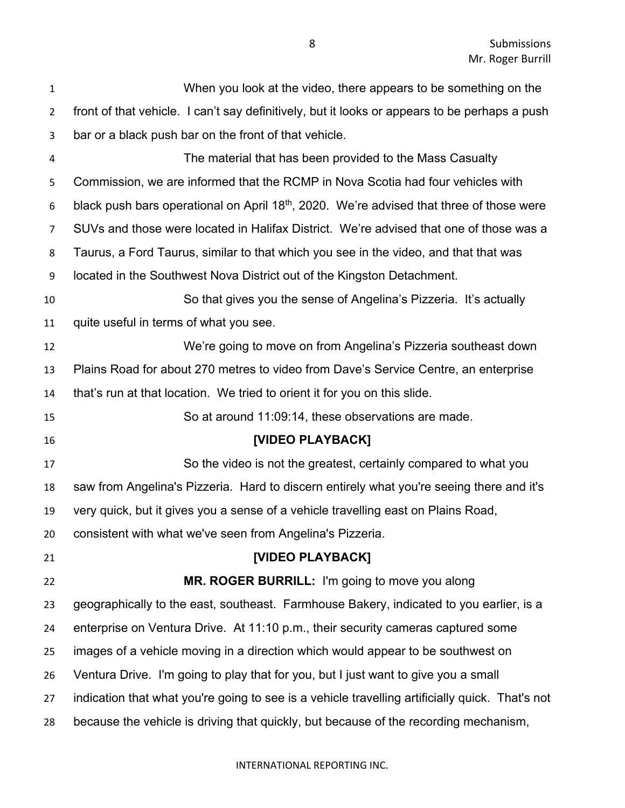| $\mathbf{1}$   | When you look at the video, there appears to be something on the                                     |
|----------------|------------------------------------------------------------------------------------------------------|
| $\overline{2}$ | front of that vehicle. I can't say definitively, but it looks or appears to be perhaps a push        |
| 3              | bar or a black push bar on the front of that vehicle.                                                |
| 4              | The material that has been provided to the Mass Casualty                                             |
| 5              | Commission, we are informed that the RCMP in Nova Scotia had four vehicles with                      |
| 6              | black push bars operational on April 18 <sup>th</sup> , 2020. We're advised that three of those were |
| $\overline{7}$ | SUVs and those were located in Halifax District. We're advised that one of those was a               |
| 8              | Taurus, a Ford Taurus, similar to that which you see in the video, and that that was                 |
| 9              | located in the Southwest Nova District out of the Kingston Detachment.                               |
| 10             | So that gives you the sense of Angelina's Pizzeria. It's actually                                    |
| 11             | quite useful in terms of what you see.                                                               |
| 12             | We're going to move on from Angelina's Pizzeria southeast down                                       |
| 13             | Plains Road for about 270 metres to video from Dave's Service Centre, an enterprise                  |
| 14             | that's run at that location. We tried to orient it for you on this slide.                            |
| 15             | So at around 11:09:14, these observations are made.                                                  |
| 16             | [VIDEO PLAYBACK]                                                                                     |
| 17             | So the video is not the greatest, certainly compared to what you                                     |
| 18             | saw from Angelina's Pizzeria. Hard to discern entirely what you're seeing there and it's             |
| 19             | very quick, but it gives you a sense of a vehicle travelling east on Plains Road,                    |
| 20             | consistent with what we've seen from Angelina's Pizzeria.                                            |
| 21             | [VIDEO PLAYBACK]                                                                                     |
| 22             | MR. ROGER BURRILL: I'm going to move you along                                                       |
| 23             | geographically to the east, southeast. Farmhouse Bakery, indicated to you earlier, is a              |
| 24             | enterprise on Ventura Drive. At 11:10 p.m., their security cameras captured some                     |
| 25             | images of a vehicle moving in a direction which would appear to be southwest on                      |
| 26             | Ventura Drive. I'm going to play that for you, but I just want to give you a small                   |
| 27             | indication that what you're going to see is a vehicle travelling artificially quick. That's not      |
| 28             | because the vehicle is driving that quickly, but because of the recording mechanism,                 |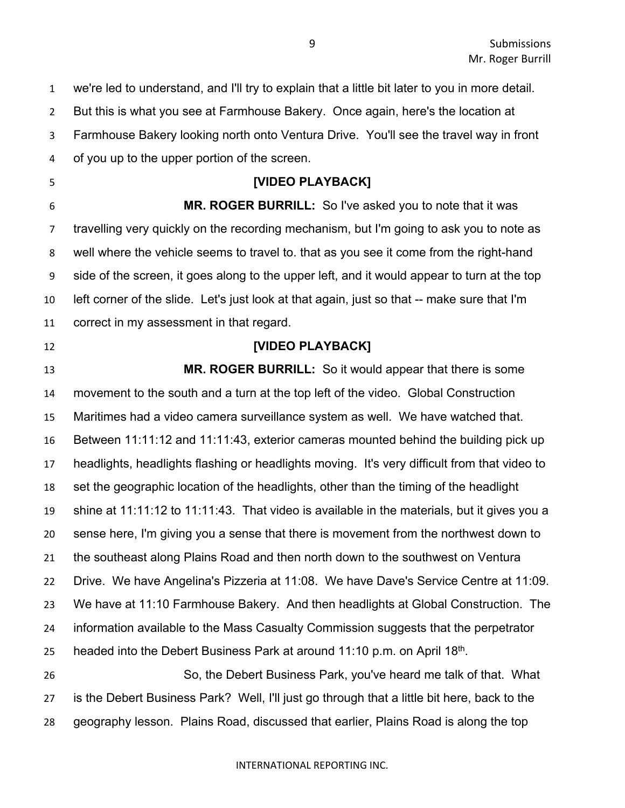we're led to understand, and I'll try to explain that a little bit later to you in more detail. But this is what you see at Farmhouse Bakery. Once again, here's the location at Farmhouse Bakery looking north onto Ventura Drive. You'll see the travel way in front of you up to the upper portion of the screen. **[VIDEO PLAYBACK] MR. ROGER BURRILL:** So I've asked you to note that it was travelling very quickly on the recording mechanism, but I'm going to ask you to note as well where the vehicle seems to travel to. that as you see it come from the right-hand side of the screen, it goes along to the upper left, and it would appear to turn at the top left corner of the slide. Let's just look at that again, just so that -- make sure that I'm correct in my assessment in that regard. **[VIDEO PLAYBACK] MR. ROGER BURRILL:** So it would appear that there is some movement to the south and a turn at the top left of the video. Global Construction Maritimes had a video camera surveillance system as well. We have watched that. Between 11:11:12 and 11:11:43, exterior cameras mounted behind the building pick up headlights, headlights flashing or headlights moving. It's very difficult from that video to set the geographic location of the headlights, other than the timing of the headlight shine at 11:11:12 to 11:11:43. That video is available in the materials, but it gives you a sense here, I'm giving you a sense that there is movement from the northwest down to the southeast along Plains Road and then north down to the southwest on Ventura Drive. We have Angelina's Pizzeria at 11:08. We have Dave's Service Centre at 11:09. We have at 11:10 Farmhouse Bakery. And then headlights at Global Construction. The information available to the Mass Casualty Commission suggests that the perpetrator 25 headed into the Debert Business Park at around 11:10 p.m. on April  $18<sup>th</sup>$ . So, the Debert Business Park, you've heard me talk of that. What is the Debert Business Park? Well, I'll just go through that a little bit here, back to the geography lesson. Plains Road, discussed that earlier, Plains Road is along the top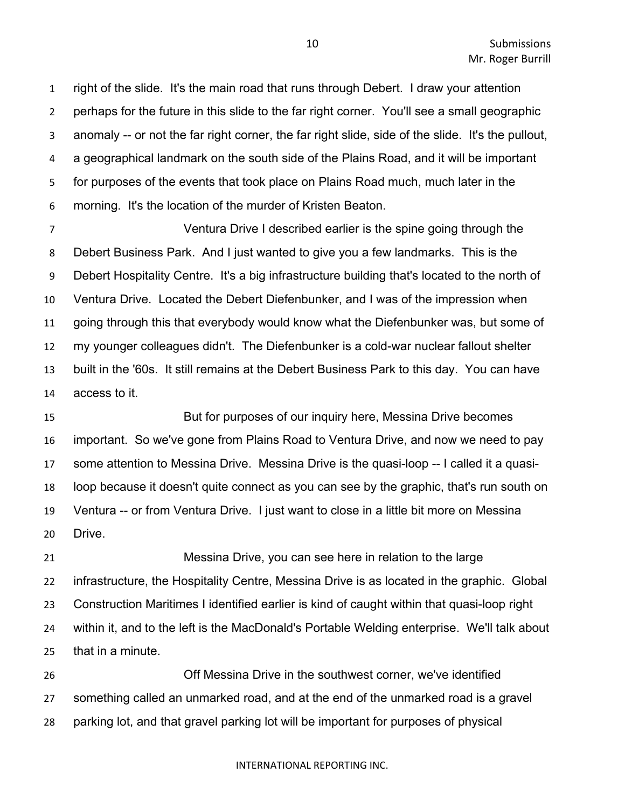right of the slide. It's the main road that runs through Debert. I draw your attention perhaps for the future in this slide to the far right corner. You'll see a small geographic anomaly -- or not the far right corner, the far right slide, side of the slide. It's the pullout, a geographical landmark on the south side of the Plains Road, and it will be important for purposes of the events that took place on Plains Road much, much later in the morning. It's the location of the murder of Kristen Beaton.

 Ventura Drive I described earlier is the spine going through the Debert Business Park. And I just wanted to give you a few landmarks. This is the Debert Hospitality Centre. It's a big infrastructure building that's located to the north of Ventura Drive. Located the Debert Diefenbunker, and I was of the impression when going through this that everybody would know what the Diefenbunker was, but some of my younger colleagues didn't. The Diefenbunker is a cold-war nuclear fallout shelter built in the '60s. It still remains at the Debert Business Park to this day. You can have access to it.

 But for purposes of our inquiry here, Messina Drive becomes important. So we've gone from Plains Road to Ventura Drive, and now we need to pay some attention to Messina Drive. Messina Drive is the quasi-loop -- I called it a quasi- loop because it doesn't quite connect as you can see by the graphic, that's run south on Ventura -- or from Ventura Drive. I just want to close in a little bit more on Messina Drive.

 Messina Drive, you can see here in relation to the large infrastructure, the Hospitality Centre, Messina Drive is as located in the graphic. Global Construction Maritimes I identified earlier is kind of caught within that quasi-loop right within it, and to the left is the MacDonald's Portable Welding enterprise. We'll talk about that in a minute.

 Off Messina Drive in the southwest corner, we've identified something called an unmarked road, and at the end of the unmarked road is a gravel parking lot, and that gravel parking lot will be important for purposes of physical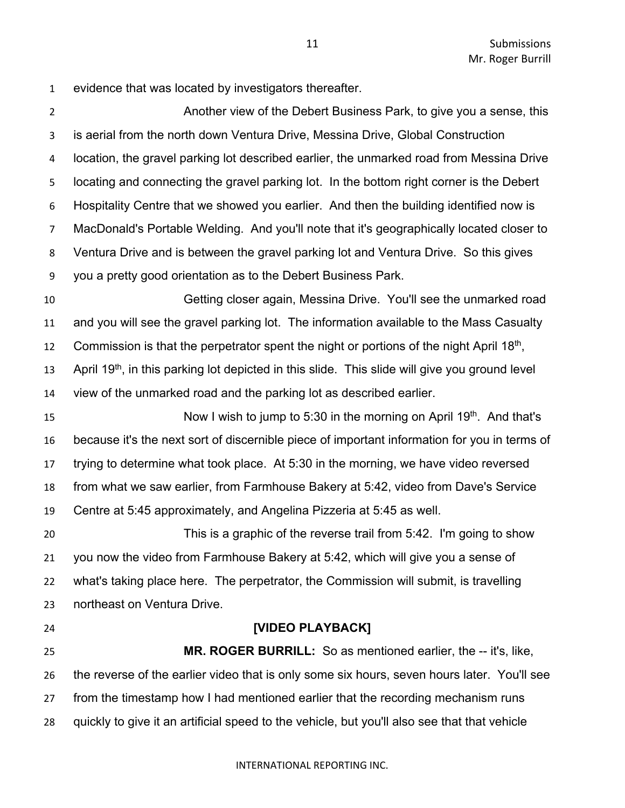evidence that was located by investigators thereafter.

 Another view of the Debert Business Park, to give you a sense, this is aerial from the north down Ventura Drive, Messina Drive, Global Construction location, the gravel parking lot described earlier, the unmarked road from Messina Drive locating and connecting the gravel parking lot. In the bottom right corner is the Debert Hospitality Centre that we showed you earlier. And then the building identified now is MacDonald's Portable Welding. And you'll note that it's geographically located closer to Ventura Drive and is between the gravel parking lot and Ventura Drive. So this gives you a pretty good orientation as to the Debert Business Park.

 Getting closer again, Messina Drive. You'll see the unmarked road and you will see the gravel parking lot. The information available to the Mass Casualty 12 Commission is that the perpetrator spent the night or portions of the night April  $18<sup>th</sup>$ , 13 April 19<sup>th</sup>, in this parking lot depicted in this slide. This slide will give you ground level view of the unmarked road and the parking lot as described earlier.

15 Now I wish to jump to 5:30 in the morning on April 19<sup>th</sup>. And that's because it's the next sort of discernible piece of important information for you in terms of trying to determine what took place. At 5:30 in the morning, we have video reversed from what we saw earlier, from Farmhouse Bakery at 5:42, video from Dave's Service Centre at 5:45 approximately, and Angelina Pizzeria at 5:45 as well.

 This is a graphic of the reverse trail from 5:42. I'm going to show you now the video from Farmhouse Bakery at 5:42, which will give you a sense of what's taking place here. The perpetrator, the Commission will submit, is travelling northeast on Ventura Drive.

#### **[VIDEO PLAYBACK]**

 **MR. ROGER BURRILL:** So as mentioned earlier, the -- it's, like, the reverse of the earlier video that is only some six hours, seven hours later. You'll see from the timestamp how I had mentioned earlier that the recording mechanism runs quickly to give it an artificial speed to the vehicle, but you'll also see that that vehicle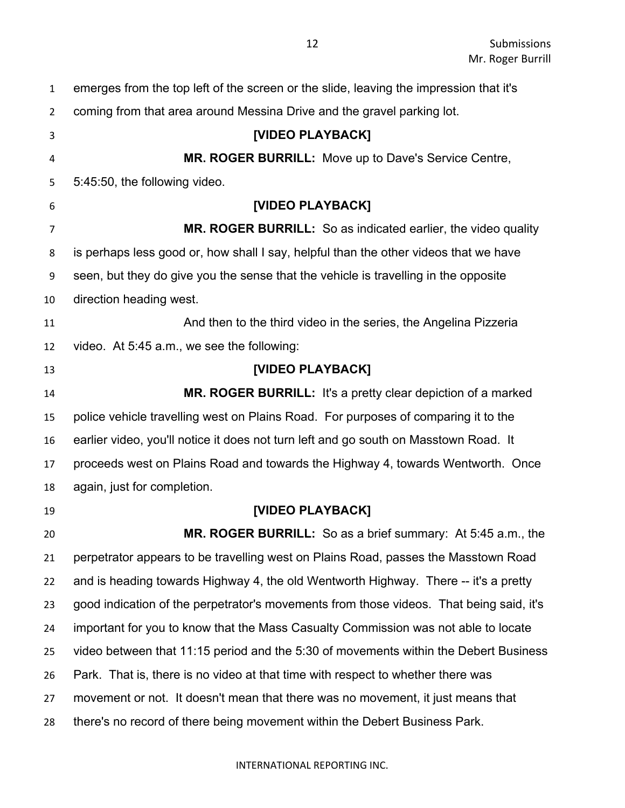| $\mathbf{1}$   | emerges from the top left of the screen or the slide, leaving the impression that it's  |
|----------------|-----------------------------------------------------------------------------------------|
| $\overline{2}$ | coming from that area around Messina Drive and the gravel parking lot.                  |
| 3              | [VIDEO PLAYBACK]                                                                        |
| $\overline{4}$ | <b>MR. ROGER BURRILL:</b> Move up to Dave's Service Centre,                             |
| 5              | 5:45:50, the following video.                                                           |
| 6              | [VIDEO PLAYBACK]                                                                        |
| 7              | MR. ROGER BURRILL: So as indicated earlier, the video quality                           |
| 8              | is perhaps less good or, how shall I say, helpful than the other videos that we have    |
| 9              | seen, but they do give you the sense that the vehicle is travelling in the opposite     |
| 10             | direction heading west.                                                                 |
| 11             | And then to the third video in the series, the Angelina Pizzeria                        |
| 12             | video. At 5:45 a.m., we see the following:                                              |
| 13             | [VIDEO PLAYBACK]                                                                        |
| 14             | MR. ROGER BURRILL: It's a pretty clear depiction of a marked                            |
| 15             | police vehicle travelling west on Plains Road. For purposes of comparing it to the      |
| 16             | earlier video, you'll notice it does not turn left and go south on Masstown Road. It    |
| 17             | proceeds west on Plains Road and towards the Highway 4, towards Wentworth. Once         |
| 18             | again, just for completion.                                                             |
| 19             | [VIDEO PLAYBACK]                                                                        |
| 20             | MR. ROGER BURRILL: So as a brief summary: At 5:45 a.m., the                             |
| 21             | perpetrator appears to be travelling west on Plains Road, passes the Masstown Road      |
| 22             | and is heading towards Highway 4, the old Wentworth Highway. There -- it's a pretty     |
| 23             | good indication of the perpetrator's movements from those videos. That being said, it's |
| 24             | important for you to know that the Mass Casualty Commission was not able to locate      |
| 25             | video between that 11:15 period and the 5:30 of movements within the Debert Business    |
| 26             | Park. That is, there is no video at that time with respect to whether there was         |
| 27             | movement or not. It doesn't mean that there was no movement, it just means that         |
| 28             | there's no record of there being movement within the Debert Business Park.              |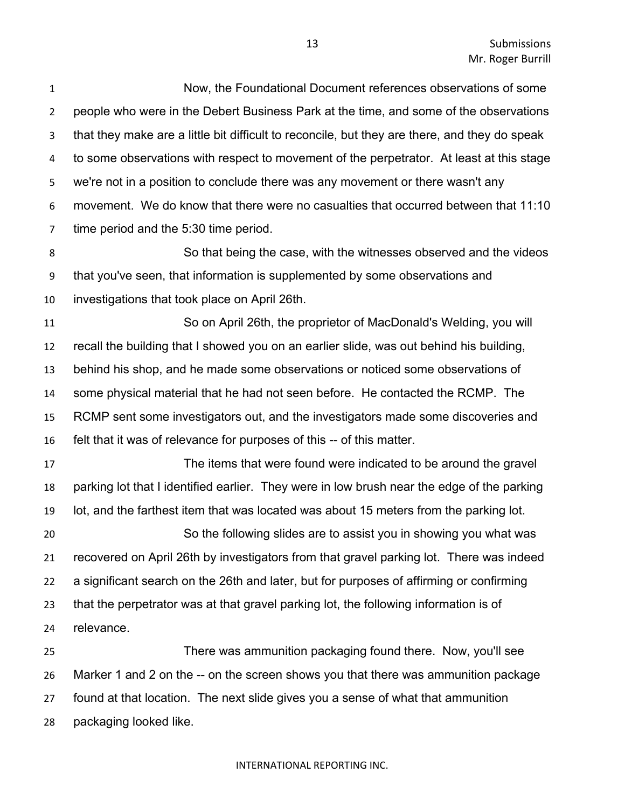Now, the Foundational Document references observations of some people who were in the Debert Business Park at the time, and some of the observations that they make are a little bit difficult to reconcile, but they are there, and they do speak to some observations with respect to movement of the perpetrator. At least at this stage we're not in a position to conclude there was any movement or there wasn't any movement. We do know that there were no casualties that occurred between that 11:10 time period and the 5:30 time period.

 So that being the case, with the witnesses observed and the videos that you've seen, that information is supplemented by some observations and investigations that took place on April 26th.

 So on April 26th, the proprietor of MacDonald's Welding, you will recall the building that I showed you on an earlier slide, was out behind his building, behind his shop, and he made some observations or noticed some observations of some physical material that he had not seen before. He contacted the RCMP. The RCMP sent some investigators out, and the investigators made some discoveries and felt that it was of relevance for purposes of this -- of this matter.

 The items that were found were indicated to be around the gravel parking lot that I identified earlier. They were in low brush near the edge of the parking lot, and the farthest item that was located was about 15 meters from the parking lot. So the following slides are to assist you in showing you what was recovered on April 26th by investigators from that gravel parking lot. There was indeed a significant search on the 26th and later, but for purposes of affirming or confirming that the perpetrator was at that gravel parking lot, the following information is of relevance.

 There was ammunition packaging found there. Now, you'll see Marker 1 and 2 on the -- on the screen shows you that there was ammunition package found at that location. The next slide gives you a sense of what that ammunition packaging looked like.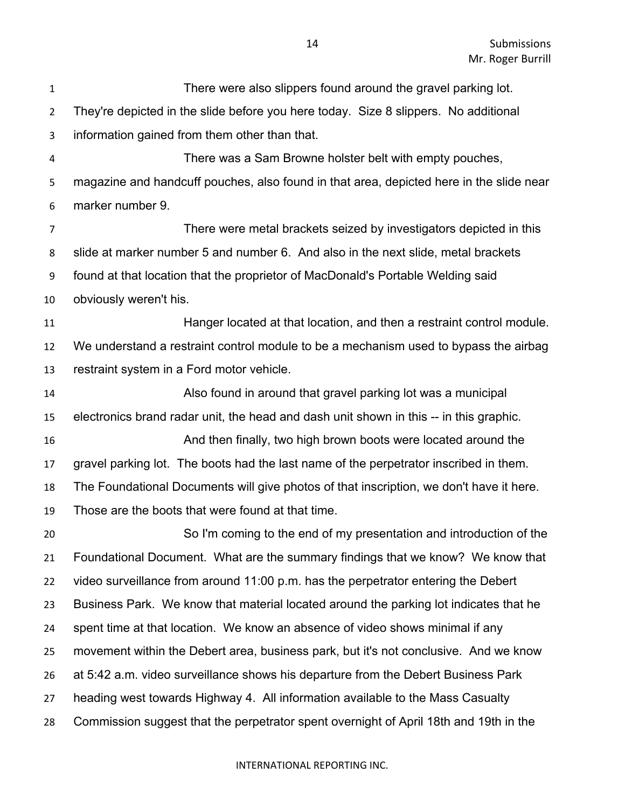| $\mathbf{1}$   | There were also slippers found around the gravel parking lot.                           |
|----------------|-----------------------------------------------------------------------------------------|
| $\overline{2}$ | They're depicted in the slide before you here today. Size 8 slippers. No additional     |
| 3              | information gained from them other than that.                                           |
| 4              | There was a Sam Browne holster belt with empty pouches,                                 |
| 5              | magazine and handcuff pouches, also found in that area, depicted here in the slide near |
| 6              | marker number 9.                                                                        |
| $\overline{7}$ | There were metal brackets seized by investigators depicted in this                      |
| 8              | slide at marker number 5 and number 6. And also in the next slide, metal brackets       |
| 9              | found at that location that the proprietor of MacDonald's Portable Welding said         |
| 10             | obviously weren't his.                                                                  |
| 11             | Hanger located at that location, and then a restraint control module.                   |
| 12             | We understand a restraint control module to be a mechanism used to bypass the airbag    |
| 13             | restraint system in a Ford motor vehicle.                                               |
| 14             | Also found in around that gravel parking lot was a municipal                            |
| 15             | electronics brand radar unit, the head and dash unit shown in this -- in this graphic.  |
| 16             | And then finally, two high brown boots were located around the                          |
| 17             | gravel parking lot. The boots had the last name of the perpetrator inscribed in them.   |
| 18             | The Foundational Documents will give photos of that inscription, we don't have it here. |
| 19             | Those are the boots that were found at that time.                                       |
| 20             | So I'm coming to the end of my presentation and introduction of the                     |
| 21             | Foundational Document. What are the summary findings that we know? We know that         |
| 22             | video surveillance from around 11:00 p.m. has the perpetrator entering the Debert       |
| 23             | Business Park. We know that material located around the parking lot indicates that he   |
| 24             | spent time at that location. We know an absence of video shows minimal if any           |
| 25             | movement within the Debert area, business park, but it's not conclusive. And we know    |
| 26             | at 5:42 a.m. video surveillance shows his departure from the Debert Business Park       |
| 27             | heading west towards Highway 4. All information available to the Mass Casualty          |
| 28             | Commission suggest that the perpetrator spent overnight of April 18th and 19th in the   |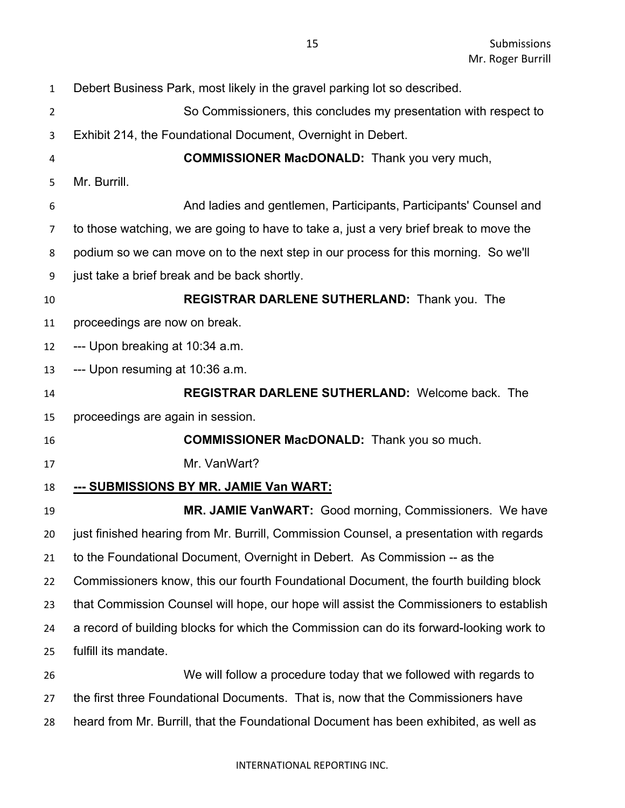Debert Business Park, most likely in the gravel parking lot so described. So Commissioners, this concludes my presentation with respect to Exhibit 214, the Foundational Document, Overnight in Debert. **COMMISSIONER MacDONALD:** Thank you very much, Mr. Burrill. And ladies and gentlemen, Participants, Participants' Counsel and to those watching, we are going to have to take a, just a very brief break to move the podium so we can move on to the next step in our process for this morning. So we'll just take a brief break and be back shortly. **REGISTRAR DARLENE SUTHERLAND:** Thank you. The proceedings are now on break. --- Upon breaking at 10:34 a.m. --- Upon resuming at 10:36 a.m. **REGISTRAR DARLENE SUTHERLAND:** Welcome back. The proceedings are again in session. **COMMISSIONER MacDONALD:** Thank you so much. Mr. VanWart? **--- SUBMISSIONS BY MR. JAMIE Van WART: MR. JAMIE VanWART:** Good morning, Commissioners. We have just finished hearing from Mr. Burrill, Commission Counsel, a presentation with regards to the Foundational Document, Overnight in Debert. As Commission -- as the Commissioners know, this our fourth Foundational Document, the fourth building block that Commission Counsel will hope, our hope will assist the Commissioners to establish a record of building blocks for which the Commission can do its forward-looking work to fulfill its mandate. We will follow a procedure today that we followed with regards to the first three Foundational Documents. That is, now that the Commissioners have heard from Mr. Burrill, that the Foundational Document has been exhibited, as well as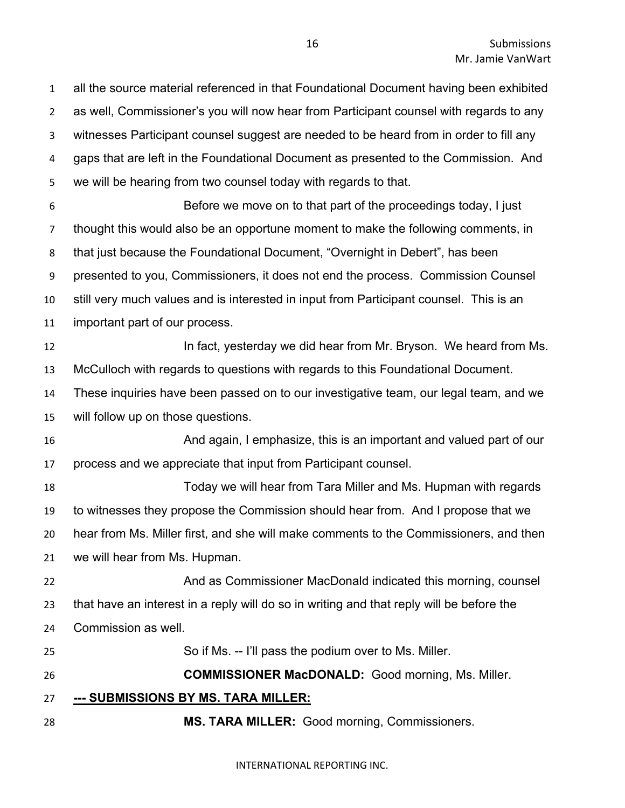all the source material referenced in that Foundational Document having been exhibited as well, Commissioner's you will now hear from Participant counsel with regards to any witnesses Participant counsel suggest are needed to be heard from in order to fill any gaps that are left in the Foundational Document as presented to the Commission. And we will be hearing from two counsel today with regards to that. Before we move on to that part of the proceedings today, I just thought this would also be an opportune moment to make the following comments, in that just because the Foundational Document, "Overnight in Debert", has been presented to you, Commissioners, it does not end the process. Commission Counsel still very much values and is interested in input from Participant counsel. This is an important part of our process. **In fact, yesterday we did hear from Mr. Bryson.** We heard from Ms. McCulloch with regards to questions with regards to this Foundational Document. These inquiries have been passed on to our investigative team, our legal team, and we will follow up on those questions. And again, I emphasize, this is an important and valued part of our process and we appreciate that input from Participant counsel. Today we will hear from Tara Miller and Ms. Hupman with regards to witnesses they propose the Commission should hear from. And I propose that we hear from Ms. Miller first, and she will make comments to the Commissioners, and then we will hear from Ms. Hupman. And as Commissioner MacDonald indicated this morning, counsel that have an interest in a reply will do so in writing and that reply will be before the Commission as well. So if Ms. -- I'll pass the podium over to Ms. Miller. **COMMISSIONER MacDONALD:** Good morning, Ms. Miller. **--- SUBMISSIONS BY MS. TARA MILLER: MS. TARA MILLER:** Good morning, Commissioners.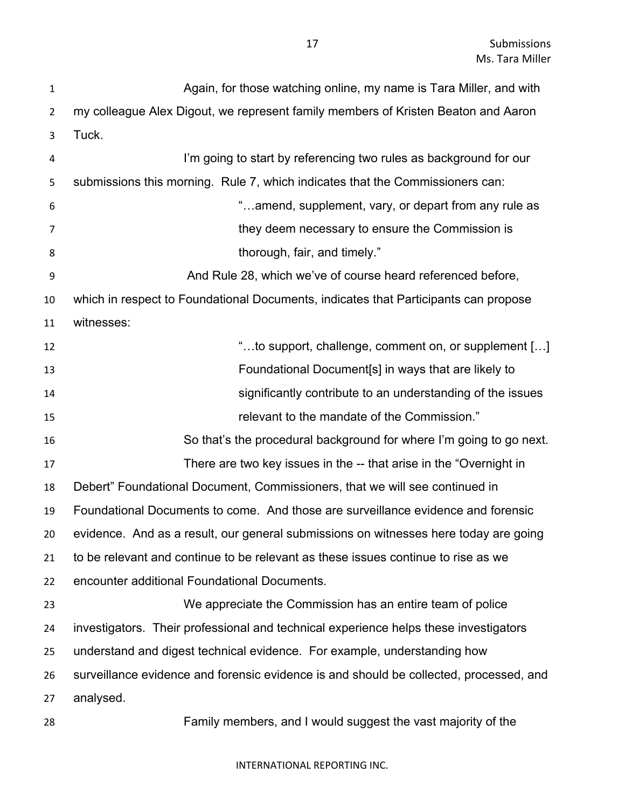| $\mathbf{1}$   | Again, for those watching online, my name is Tara Miller, and with                     |
|----------------|----------------------------------------------------------------------------------------|
| $\overline{2}$ | my colleague Alex Digout, we represent family members of Kristen Beaton and Aaron      |
| 3              | Tuck.                                                                                  |
| 4              | I'm going to start by referencing two rules as background for our                      |
| 5              | submissions this morning. Rule 7, which indicates that the Commissioners can:          |
| 6              | "amend, supplement, vary, or depart from any rule as                                   |
| $\overline{7}$ | they deem necessary to ensure the Commission is                                        |
| 8              | thorough, fair, and timely."                                                           |
| 9              | And Rule 28, which we've of course heard referenced before,                            |
| 10             | which in respect to Foundational Documents, indicates that Participants can propose    |
| 11             | witnesses:                                                                             |
| 12             | "to support, challenge, comment on, or supplement []                                   |
| 13             | Foundational Document[s] in ways that are likely to                                    |
| 14             | significantly contribute to an understanding of the issues                             |
| 15             | relevant to the mandate of the Commission."                                            |
| 16             | So that's the procedural background for where I'm going to go next.                    |
| 17             | There are two key issues in the -- that arise in the "Overnight in                     |
| 18             | Debert" Foundational Document, Commissioners, that we will see continued in            |
| 19             | Foundational Documents to come. And those are surveillance evidence and forensic       |
| 20             | evidence. And as a result, our general submissions on witnesses here today are going   |
| 21             | to be relevant and continue to be relevant as these issues continue to rise as we      |
| 22             | encounter additional Foundational Documents.                                           |
| 23             | We appreciate the Commission has an entire team of police                              |
| 24             | investigators. Their professional and technical experience helps these investigators   |
| 25             | understand and digest technical evidence. For example, understanding how               |
| 26             | surveillance evidence and forensic evidence is and should be collected, processed, and |
| 27             | analysed.                                                                              |
| 28             | Family members, and I would suggest the vast majority of the                           |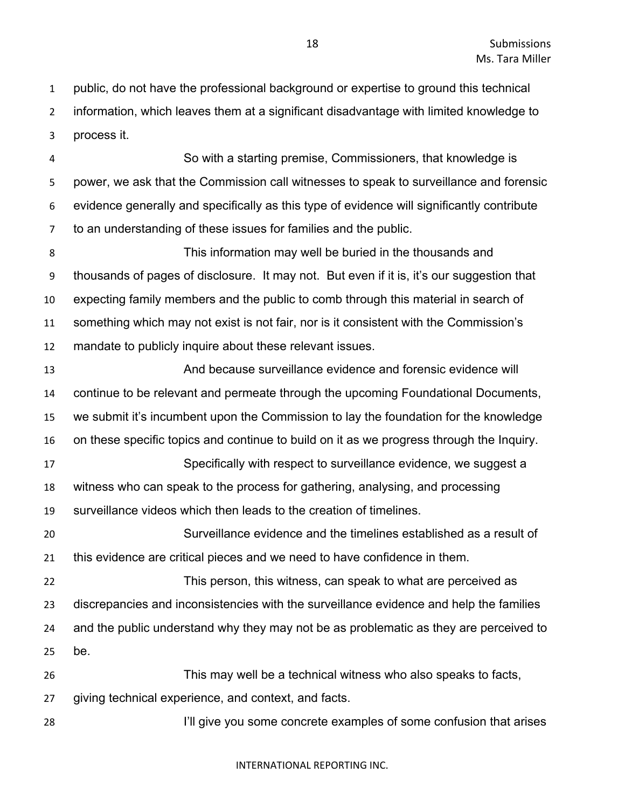public, do not have the professional background or expertise to ground this technical information, which leaves them at a significant disadvantage with limited knowledge to process it.

 So with a starting premise, Commissioners, that knowledge is power, we ask that the Commission call witnesses to speak to surveillance and forensic evidence generally and specifically as this type of evidence will significantly contribute to an understanding of these issues for families and the public.

 This information may well be buried in the thousands and thousands of pages of disclosure. It may not. But even if it is, it's our suggestion that expecting family members and the public to comb through this material in search of something which may not exist is not fair, nor is it consistent with the Commission's mandate to publicly inquire about these relevant issues.

 And because surveillance evidence and forensic evidence will continue to be relevant and permeate through the upcoming Foundational Documents, we submit it's incumbent upon the Commission to lay the foundation for the knowledge on these specific topics and continue to build on it as we progress through the Inquiry. Specifically with respect to surveillance evidence, we suggest a witness who can speak to the process for gathering, analysing, and processing surveillance videos which then leads to the creation of timelines. Surveillance evidence and the timelines established as a result of this evidence are critical pieces and we need to have confidence in them. This person, this witness, can speak to what are perceived as discrepancies and inconsistencies with the surveillance evidence and help the families and the public understand why they may not be as problematic as they are perceived to be. This may well be a technical witness who also speaks to facts, giving technical experience, and context, and facts. I'll give you some concrete examples of some confusion that arises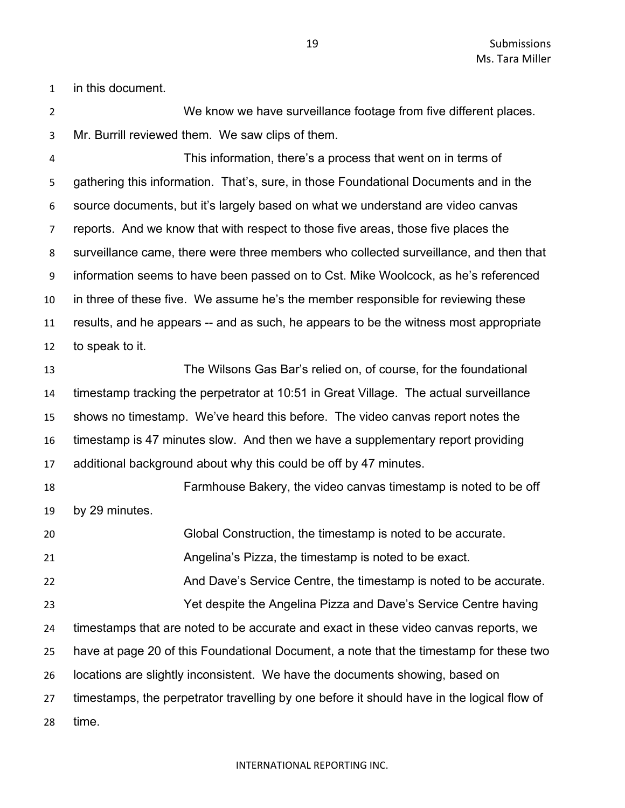in this document.

 We know we have surveillance footage from five different places. Mr. Burrill reviewed them. We saw clips of them.

 This information, there's a process that went on in terms of gathering this information. That's, sure, in those Foundational Documents and in the source documents, but it's largely based on what we understand are video canvas reports. And we know that with respect to those five areas, those five places the surveillance came, there were three members who collected surveillance, and then that information seems to have been passed on to Cst. Mike Woolcock, as he's referenced in three of these five. We assume he's the member responsible for reviewing these results, and he appears -- and as such, he appears to be the witness most appropriate to speak to it.

 The Wilsons Gas Bar's relied on, of course, for the foundational timestamp tracking the perpetrator at 10:51 in Great Village. The actual surveillance shows no timestamp. We've heard this before. The video canvas report notes the timestamp is 47 minutes slow. And then we have a supplementary report providing additional background about why this could be off by 47 minutes.

 Farmhouse Bakery, the video canvas timestamp is noted to be off by 29 minutes. Global Construction, the timestamp is noted to be accurate.

 Angelina's Pizza, the timestamp is noted to be exact. And Dave's Service Centre, the timestamp is noted to be accurate. Yet despite the Angelina Pizza and Dave's Service Centre having

 timestamps that are noted to be accurate and exact in these video canvas reports, we have at page 20 of this Foundational Document, a note that the timestamp for these two locations are slightly inconsistent. We have the documents showing, based on timestamps, the perpetrator travelling by one before it should have in the logical flow of time.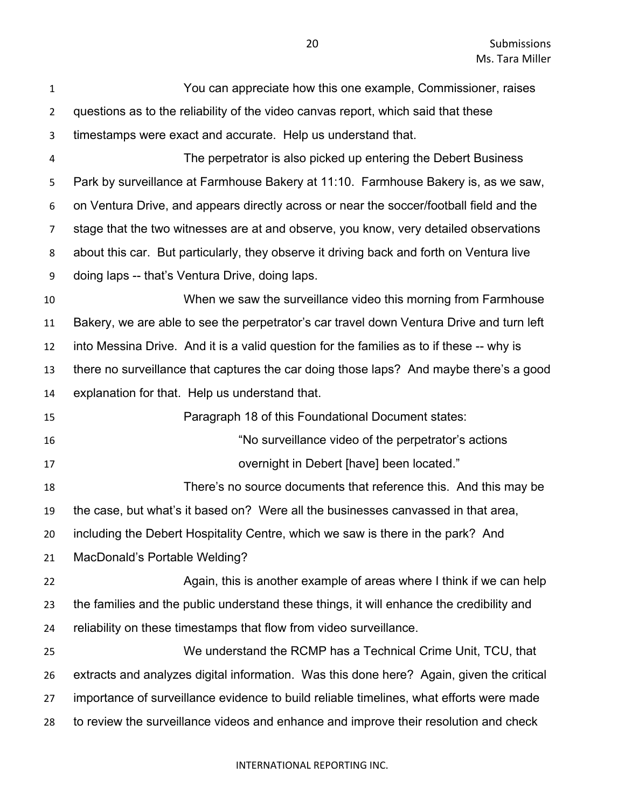| $\mathbf{1}$   | You can appreciate how this one example, Commissioner, raises                            |
|----------------|------------------------------------------------------------------------------------------|
| $\overline{2}$ | questions as to the reliability of the video canvas report, which said that these        |
| 3              | timestamps were exact and accurate. Help us understand that.                             |
| 4              | The perpetrator is also picked up entering the Debert Business                           |
| 5              | Park by surveillance at Farmhouse Bakery at 11:10. Farmhouse Bakery is, as we saw,       |
| 6              | on Ventura Drive, and appears directly across or near the soccer/football field and the  |
| 7              | stage that the two witnesses are at and observe, you know, very detailed observations    |
| 8              | about this car. But particularly, they observe it driving back and forth on Ventura live |
| 9              | doing laps -- that's Ventura Drive, doing laps.                                          |
| 10             | When we saw the surveillance video this morning from Farmhouse                           |
| 11             | Bakery, we are able to see the perpetrator's car travel down Ventura Drive and turn left |
| 12             | into Messina Drive. And it is a valid question for the families as to if these -- why is |
| 13             | there no surveillance that captures the car doing those laps? And maybe there's a good   |
| 14             | explanation for that. Help us understand that.                                           |
| 15             | Paragraph 18 of this Foundational Document states:                                       |
| 16             | "No surveillance video of the perpetrator's actions                                      |
| 17             | overnight in Debert [have] been located."                                                |
| 18             | There's no source documents that reference this. And this may be                         |
| 19             | the case, but what's it based on? Were all the businesses canvassed in that area,        |
| 20             | including the Debert Hospitality Centre, which we saw is there in the park? And          |
| 21             | MacDonald's Portable Welding?                                                            |
| 22             | Again, this is another example of areas where I think if we can help                     |
| 23             | the families and the public understand these things, it will enhance the credibility and |
| 24             | reliability on these timestamps that flow from video surveillance.                       |
| 25             | We understand the RCMP has a Technical Crime Unit, TCU, that                             |
| 26             | extracts and analyzes digital information. Was this done here? Again, given the critical |
| 27             | importance of surveillance evidence to build reliable timelines, what efforts were made  |
| 28             | to review the surveillance videos and enhance and improve their resolution and check     |
|                |                                                                                          |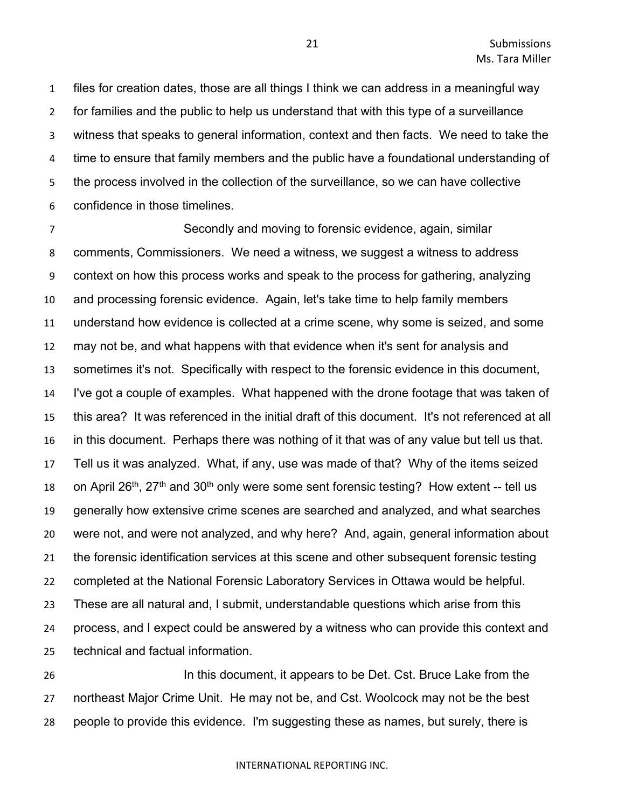files for creation dates, those are all things I think we can address in a meaningful way for families and the public to help us understand that with this type of a surveillance witness that speaks to general information, context and then facts. We need to take the time to ensure that family members and the public have a foundational understanding of the process involved in the collection of the surveillance, so we can have collective confidence in those timelines.

 Secondly and moving to forensic evidence, again, similar comments, Commissioners. We need a witness, we suggest a witness to address context on how this process works and speak to the process for gathering, analyzing and processing forensic evidence. Again, let's take time to help family members understand how evidence is collected at a crime scene, why some is seized, and some may not be, and what happens with that evidence when it's sent for analysis and sometimes it's not. Specifically with respect to the forensic evidence in this document, I've got a couple of examples. What happened with the drone footage that was taken of this area? It was referenced in the initial draft of this document. It's not referenced at all in this document. Perhaps there was nothing of it that was of any value but tell us that. Tell us it was analyzed. What, if any, use was made of that? Why of the items seized 18 on April 26<sup>th</sup>, 27<sup>th</sup> and 30<sup>th</sup> only were some sent forensic testing? How extent -- tell us generally how extensive crime scenes are searched and analyzed, and what searches were not, and were not analyzed, and why here? And, again, general information about the forensic identification services at this scene and other subsequent forensic testing completed at the National Forensic Laboratory Services in Ottawa would be helpful. These are all natural and, I submit, understandable questions which arise from this process, and I expect could be answered by a witness who can provide this context and technical and factual information.

 In this document, it appears to be Det. Cst. Bruce Lake from the northeast Major Crime Unit. He may not be, and Cst. Woolcock may not be the best people to provide this evidence. I'm suggesting these as names, but surely, there is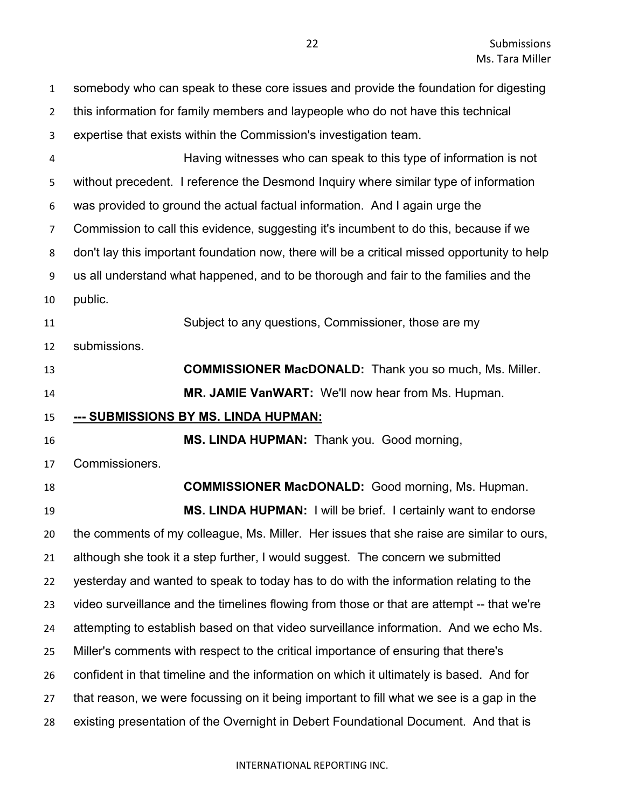| $\mathbf{1}$   | somebody who can speak to these core issues and provide the foundation for digesting         |
|----------------|----------------------------------------------------------------------------------------------|
| $\overline{2}$ | this information for family members and laypeople who do not have this technical             |
| 3              | expertise that exists within the Commission's investigation team.                            |
| 4              | Having witnesses who can speak to this type of information is not                            |
| 5              | without precedent. I reference the Desmond Inquiry where similar type of information         |
| 6              | was provided to ground the actual factual information. And I again urge the                  |
| $\overline{7}$ | Commission to call this evidence, suggesting it's incumbent to do this, because if we        |
| 8              | don't lay this important foundation now, there will be a critical missed opportunity to help |
| 9              | us all understand what happened, and to be thorough and fair to the families and the         |
| 10             | public.                                                                                      |
| 11             | Subject to any questions, Commissioner, those are my                                         |
| 12             | submissions.                                                                                 |
| 13             | <b>COMMISSIONER MacDONALD:</b> Thank you so much, Ms. Miller.                                |
| 14             | MR. JAMIE VanWART: We'll now hear from Ms. Hupman.                                           |
|                |                                                                                              |
| 15             | <u>--- SUBMISSIONS BY MS. LINDA HUPMAN:</u>                                                  |
| 16             | MS. LINDA HUPMAN: Thank you. Good morning,                                                   |
| 17             | Commissioners.                                                                               |
| 18             | <b>COMMISSIONER MacDONALD:</b> Good morning, Ms. Hupman.                                     |
| 19             | MS. LINDA HUPMAN: I will be brief. I certainly want to endorse                               |
| 20             | the comments of my colleague, Ms. Miller. Her issues that she raise are similar to ours,     |
| 21             | although she took it a step further, I would suggest. The concern we submitted               |
| 22             | yesterday and wanted to speak to today has to do with the information relating to the        |
| 23             | video surveillance and the timelines flowing from those or that are attempt -- that we're    |
| 24             | attempting to establish based on that video surveillance information. And we echo Ms.        |
| 25             | Miller's comments with respect to the critical importance of ensuring that there's           |
| 26             | confident in that timeline and the information on which it ultimately is based. And for      |
| 27             | that reason, we were focussing on it being important to fill what we see is a gap in the     |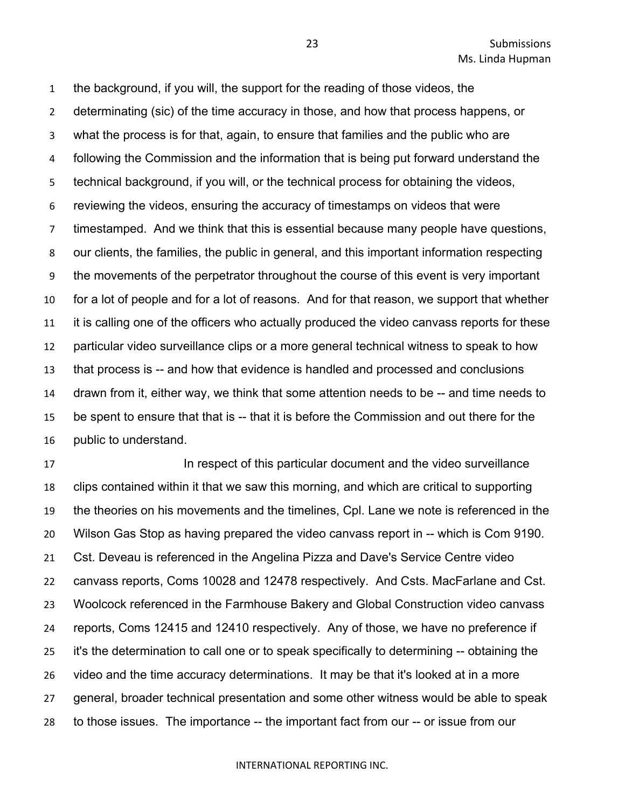the background, if you will, the support for the reading of those videos, the determinating (sic) of the time accuracy in those, and how that process happens, or what the process is for that, again, to ensure that families and the public who are following the Commission and the information that is being put forward understand the technical background, if you will, or the technical process for obtaining the videos, reviewing the videos, ensuring the accuracy of timestamps on videos that were timestamped. And we think that this is essential because many people have questions, our clients, the families, the public in general, and this important information respecting the movements of the perpetrator throughout the course of this event is very important for a lot of people and for a lot of reasons. And for that reason, we support that whether it is calling one of the officers who actually produced the video canvass reports for these particular video surveillance clips or a more general technical witness to speak to how that process is -- and how that evidence is handled and processed and conclusions drawn from it, either way, we think that some attention needs to be -- and time needs to be spent to ensure that that is -- that it is before the Commission and out there for the public to understand.

**In respect of this particular document and the video surveillance**  clips contained within it that we saw this morning, and which are critical to supporting the theories on his movements and the timelines, Cpl. Lane we note is referenced in the Wilson Gas Stop as having prepared the video canvass report in -- which is Com 9190. Cst. Deveau is referenced in the Angelina Pizza and Dave's Service Centre video canvass reports, Coms 10028 and 12478 respectively. And Csts. MacFarlane and Cst. Woolcock referenced in the Farmhouse Bakery and Global Construction video canvass reports, Coms 12415 and 12410 respectively. Any of those, we have no preference if it's the determination to call one or to speak specifically to determining -- obtaining the video and the time accuracy determinations. It may be that it's looked at in a more general, broader technical presentation and some other witness would be able to speak to those issues. The importance -- the important fact from our -- or issue from our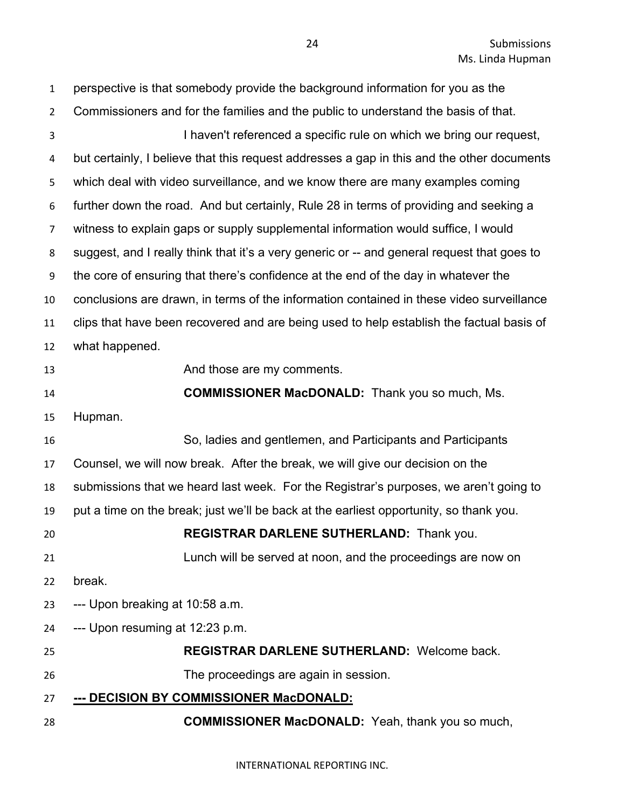| $\mathbf{1}$   | perspective is that somebody provide the background information for you as the              |
|----------------|---------------------------------------------------------------------------------------------|
| $\overline{2}$ | Commissioners and for the families and the public to understand the basis of that.          |
| $\overline{3}$ | I haven't referenced a specific rule on which we bring our request,                         |
| 4              | but certainly, I believe that this request addresses a gap in this and the other documents  |
| 5              | which deal with video surveillance, and we know there are many examples coming              |
| 6              | further down the road. And but certainly, Rule 28 in terms of providing and seeking a       |
| $\overline{7}$ | witness to explain gaps or supply supplemental information would suffice, I would           |
| 8              | suggest, and I really think that it's a very generic or -- and general request that goes to |
| 9              | the core of ensuring that there's confidence at the end of the day in whatever the          |
| 10             | conclusions are drawn, in terms of the information contained in these video surveillance    |
| 11             | clips that have been recovered and are being used to help establish the factual basis of    |
| 12             | what happened.                                                                              |
| 13             | And those are my comments.                                                                  |
| 14             | <b>COMMISSIONER MacDONALD:</b> Thank you so much, Ms.                                       |
| 15             | Hupman.                                                                                     |
| 16             | So, ladies and gentlemen, and Participants and Participants                                 |
| 17             | Counsel, we will now break. After the break, we will give our decision on the               |
| 18             | submissions that we heard last week. For the Registrar's purposes, we aren't going to       |
| 19             | put a time on the break; just we'll be back at the earliest opportunity, so thank you.      |
| 20             | REGISTRAR DARLENE SUTHERLAND: Thank you.                                                    |
| 21             | Lunch will be served at noon, and the proceedings are now on                                |
| 22             | break.                                                                                      |
| 23             | --- Upon breaking at 10:58 a.m.                                                             |
| 24             | --- Upon resuming at 12:23 p.m.                                                             |
| 25             | <b>REGISTRAR DARLENE SUTHERLAND: Welcome back.</b>                                          |
| 26             | The proceedings are again in session.                                                       |
| 27             | --- DECISION BY COMMISSIONER MacDONALD:                                                     |
| 28             | <b>COMMISSIONER MacDONALD:</b> Yeah, thank you so much,                                     |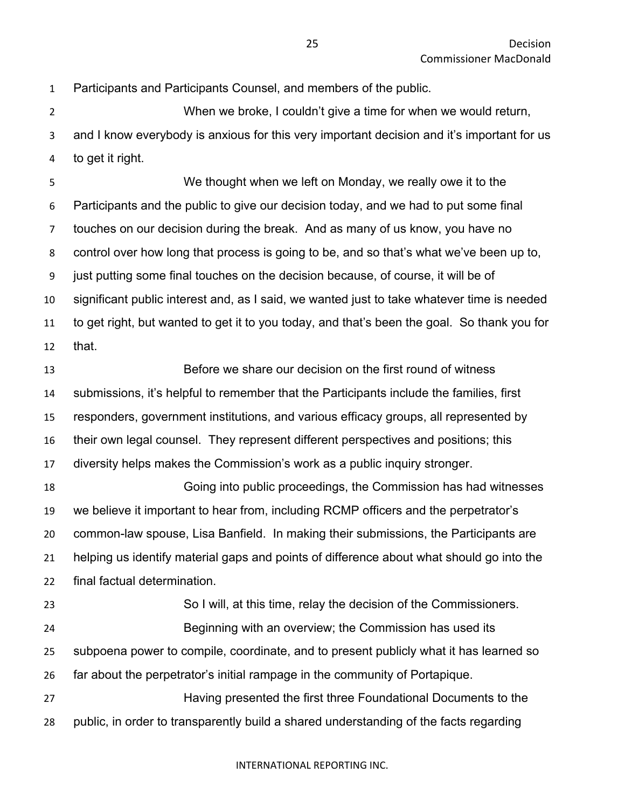Participants and Participants Counsel, and members of the public.

 When we broke, I couldn't give a time for when we would return, and I know everybody is anxious for this very important decision and it's important for us to get it right.

 We thought when we left on Monday, we really owe it to the Participants and the public to give our decision today, and we had to put some final touches on our decision during the break. And as many of us know, you have no control over how long that process is going to be, and so that's what we've been up to, just putting some final touches on the decision because, of course, it will be of significant public interest and, as I said, we wanted just to take whatever time is needed to get right, but wanted to get it to you today, and that's been the goal. So thank you for that.

 Before we share our decision on the first round of witness submissions, it's helpful to remember that the Participants include the families, first responders, government institutions, and various efficacy groups, all represented by their own legal counsel. They represent different perspectives and positions; this diversity helps makes the Commission's work as a public inquiry stronger.

 Going into public proceedings, the Commission has had witnesses we believe it important to hear from, including RCMP officers and the perpetrator's common-law spouse, Lisa Banfield. In making their submissions, the Participants are helping us identify material gaps and points of difference about what should go into the final factual determination.

 So I will, at this time, relay the decision of the Commissioners. Beginning with an overview; the Commission has used its subpoena power to compile, coordinate, and to present publicly what it has learned so far about the perpetrator's initial rampage in the community of Portapique. Having presented the first three Foundational Documents to the

public, in order to transparently build a shared understanding of the facts regarding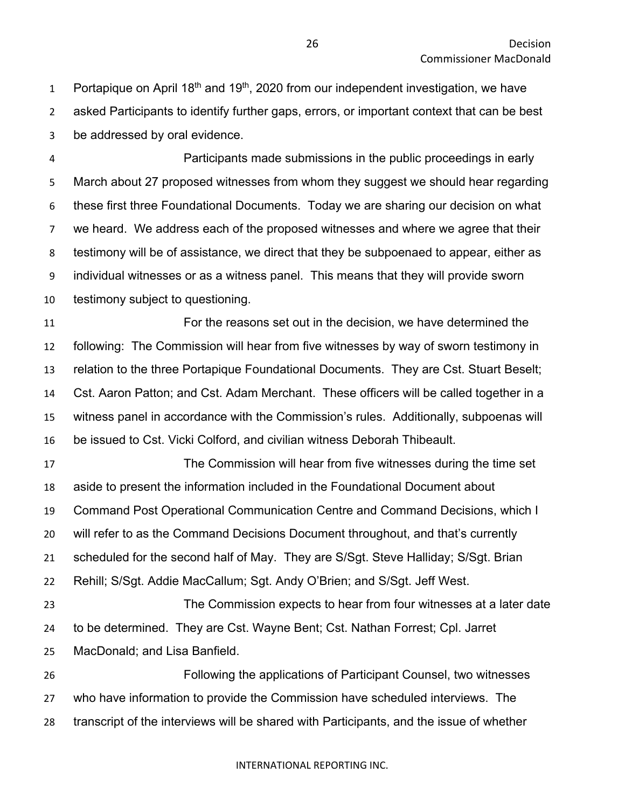1 Portapique on April 18<sup>th</sup> and 19<sup>th</sup>, 2020 from our independent investigation, we have asked Participants to identify further gaps, errors, or important context that can be best be addressed by oral evidence.

 Participants made submissions in the public proceedings in early March about 27 proposed witnesses from whom they suggest we should hear regarding these first three Foundational Documents. Today we are sharing our decision on what we heard. We address each of the proposed witnesses and where we agree that their testimony will be of assistance, we direct that they be subpoenaed to appear, either as individual witnesses or as a witness panel. This means that they will provide sworn testimony subject to questioning.

 For the reasons set out in the decision, we have determined the following: The Commission will hear from five witnesses by way of sworn testimony in relation to the three Portapique Foundational Documents. They are Cst. Stuart Beselt; Cst. Aaron Patton; and Cst. Adam Merchant. These officers will be called together in a witness panel in accordance with the Commission's rules. Additionally, subpoenas will be issued to Cst. Vicki Colford, and civilian witness Deborah Thibeault.

 The Commission will hear from five witnesses during the time set aside to present the information included in the Foundational Document about Command Post Operational Communication Centre and Command Decisions, which I will refer to as the Command Decisions Document throughout, and that's currently scheduled for the second half of May. They are S/Sgt. Steve Halliday; S/Sgt. Brian Rehill; S/Sgt. Addie MacCallum; Sgt. Andy O'Brien; and S/Sgt. Jeff West. The Commission expects to hear from four witnesses at a later date to be determined. They are Cst. Wayne Bent; Cst. Nathan Forrest; Cpl. Jarret MacDonald; and Lisa Banfield. Following the applications of Participant Counsel, two witnesses who have information to provide the Commission have scheduled interviews. The

transcript of the interviews will be shared with Participants, and the issue of whether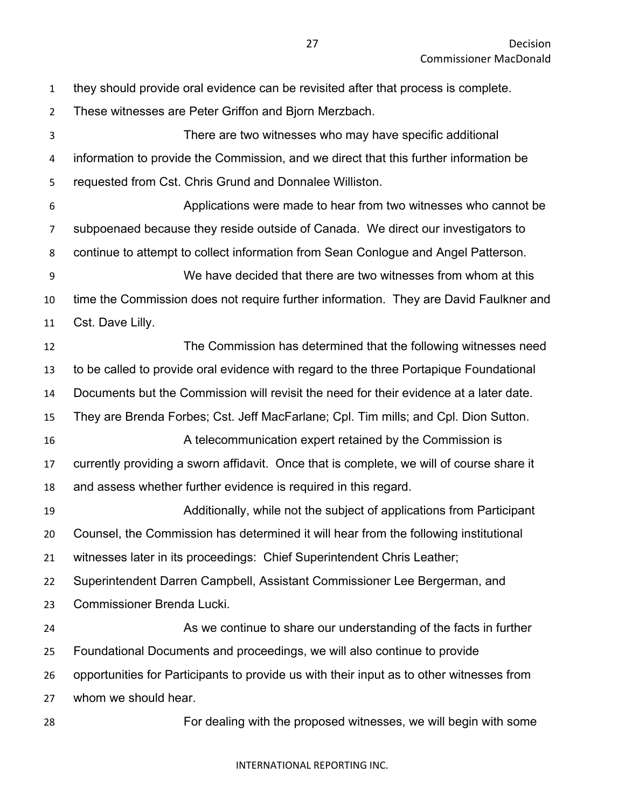they should provide oral evidence can be revisited after that process is complete.

 These witnesses are Peter Griffon and Bjorn Merzbach. There are two witnesses who may have specific additional information to provide the Commission, and we direct that this further information be requested from Cst. Chris Grund and Donnalee Williston. Applications were made to hear from two witnesses who cannot be subpoenaed because they reside outside of Canada. We direct our investigators to continue to attempt to collect information from Sean Conlogue and Angel Patterson. We have decided that there are two witnesses from whom at this time the Commission does not require further information. They are David Faulkner and Cst. Dave Lilly. The Commission has determined that the following witnesses need to be called to provide oral evidence with regard to the three Portapique Foundational Documents but the Commission will revisit the need for their evidence at a later date. They are Brenda Forbes; Cst. Jeff MacFarlane; Cpl. Tim mills; and Cpl. Dion Sutton. A telecommunication expert retained by the Commission is currently providing a sworn affidavit. Once that is complete, we will of course share it and assess whether further evidence is required in this regard. Additionally, while not the subject of applications from Participant Counsel, the Commission has determined it will hear from the following institutional witnesses later in its proceedings: Chief Superintendent Chris Leather; Superintendent Darren Campbell, Assistant Commissioner Lee Bergerman, and Commissioner Brenda Lucki. As we continue to share our understanding of the facts in further Foundational Documents and proceedings, we will also continue to provide opportunities for Participants to provide us with their input as to other witnesses from

whom we should hear.

For dealing with the proposed witnesses, we will begin with some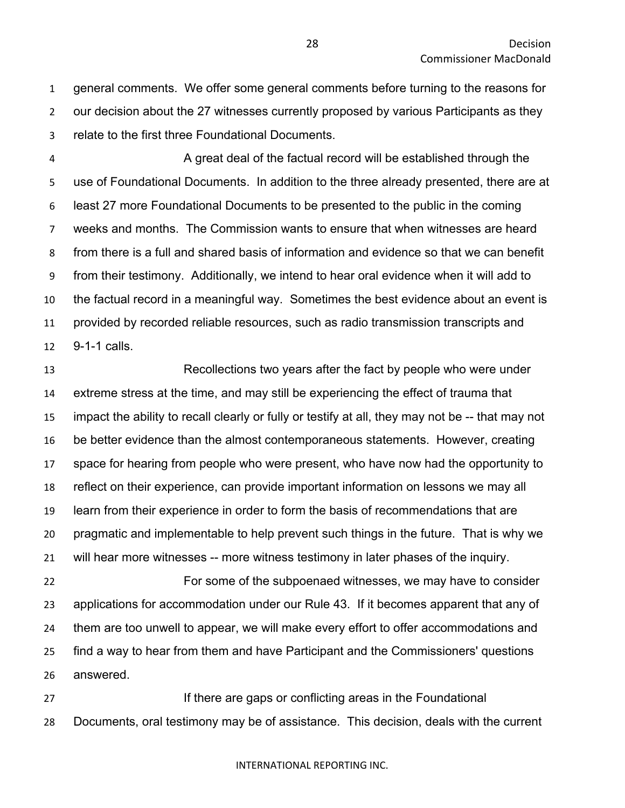general comments. We offer some general comments before turning to the reasons for our decision about the 27 witnesses currently proposed by various Participants as they relate to the first three Foundational Documents.

 A great deal of the factual record will be established through the use of Foundational Documents. In addition to the three already presented, there are at least 27 more Foundational Documents to be presented to the public in the coming weeks and months. The Commission wants to ensure that when witnesses are heard from there is a full and shared basis of information and evidence so that we can benefit from their testimony. Additionally, we intend to hear oral evidence when it will add to the factual record in a meaningful way. Sometimes the best evidence about an event is provided by recorded reliable resources, such as radio transmission transcripts and 9-1-1 calls.

 Recollections two years after the fact by people who were under extreme stress at the time, and may still be experiencing the effect of trauma that impact the ability to recall clearly or fully or testify at all, they may not be -- that may not be better evidence than the almost contemporaneous statements. However, creating space for hearing from people who were present, who have now had the opportunity to reflect on their experience, can provide important information on lessons we may all learn from their experience in order to form the basis of recommendations that are pragmatic and implementable to help prevent such things in the future. That is why we will hear more witnesses -- more witness testimony in later phases of the inquiry.

 For some of the subpoenaed witnesses, we may have to consider applications for accommodation under our Rule 43. If it becomes apparent that any of them are too unwell to appear, we will make every effort to offer accommodations and find a way to hear from them and have Participant and the Commissioners' questions answered.

**If there are gaps or conflicting areas in the Foundational** Documents, oral testimony may be of assistance. This decision, deals with the current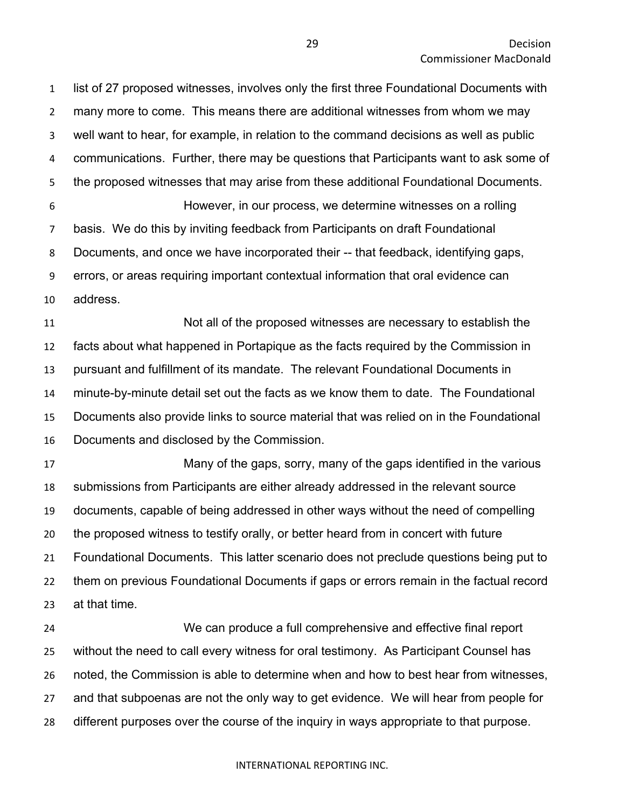list of 27 proposed witnesses, involves only the first three Foundational Documents with many more to come. This means there are additional witnesses from whom we may well want to hear, for example, in relation to the command decisions as well as public communications. Further, there may be questions that Participants want to ask some of the proposed witnesses that may arise from these additional Foundational Documents. However, in our process, we determine witnesses on a rolling basis. We do this by inviting feedback from Participants on draft Foundational Documents, and once we have incorporated their -- that feedback, identifying gaps, errors, or areas requiring important contextual information that oral evidence can address.

 Not all of the proposed witnesses are necessary to establish the facts about what happened in Portapique as the facts required by the Commission in pursuant and fulfillment of its mandate. The relevant Foundational Documents in minute-by-minute detail set out the facts as we know them to date. The Foundational Documents also provide links to source material that was relied on in the Foundational Documents and disclosed by the Commission.

 Many of the gaps, sorry, many of the gaps identified in the various submissions from Participants are either already addressed in the relevant source documents, capable of being addressed in other ways without the need of compelling the proposed witness to testify orally, or better heard from in concert with future Foundational Documents. This latter scenario does not preclude questions being put to them on previous Foundational Documents if gaps or errors remain in the factual record at that time.

 We can produce a full comprehensive and effective final report without the need to call every witness for oral testimony. As Participant Counsel has noted, the Commission is able to determine when and how to best hear from witnesses, and that subpoenas are not the only way to get evidence. We will hear from people for different purposes over the course of the inquiry in ways appropriate to that purpose.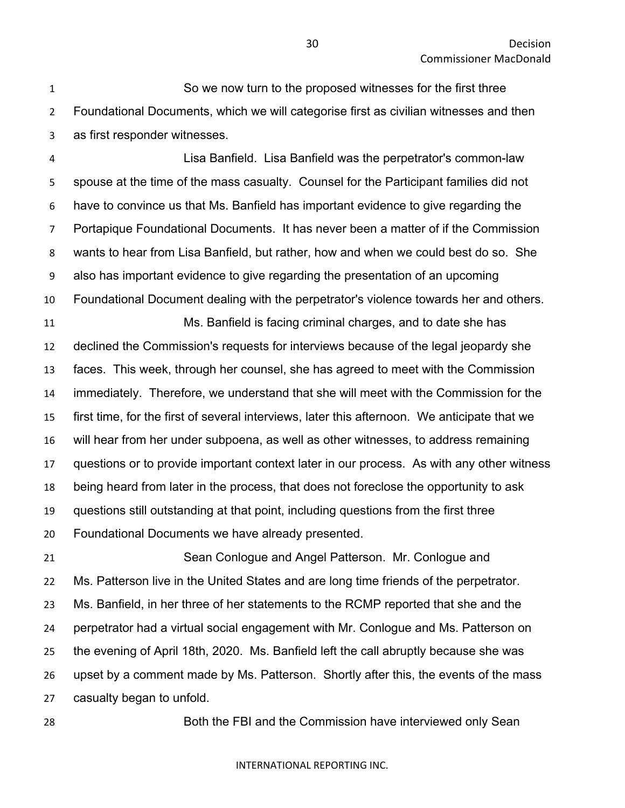So we now turn to the proposed witnesses for the first three Foundational Documents, which we will categorise first as civilian witnesses and then as first responder witnesses.

 Lisa Banfield. Lisa Banfield was the perpetrator's common-law spouse at the time of the mass casualty. Counsel for the Participant families did not have to convince us that Ms. Banfield has important evidence to give regarding the Portapique Foundational Documents. It has never been a matter of if the Commission wants to hear from Lisa Banfield, but rather, how and when we could best do so. She also has important evidence to give regarding the presentation of an upcoming Foundational Document dealing with the perpetrator's violence towards her and others. Ms. Banfield is facing criminal charges, and to date she has declined the Commission's requests for interviews because of the legal jeopardy she faces. This week, through her counsel, she has agreed to meet with the Commission immediately. Therefore, we understand that she will meet with the Commission for the first time, for the first of several interviews, later this afternoon. We anticipate that we will hear from her under subpoena, as well as other witnesses, to address remaining questions or to provide important context later in our process. As with any other witness being heard from later in the process, that does not foreclose the opportunity to ask questions still outstanding at that point, including questions from the first three Foundational Documents we have already presented.

 Sean Conlogue and Angel Patterson. Mr. Conlogue and Ms. Patterson live in the United States and are long time friends of the perpetrator. Ms. Banfield, in her three of her statements to the RCMP reported that she and the perpetrator had a virtual social engagement with Mr. Conlogue and Ms. Patterson on the evening of April 18th, 2020. Ms. Banfield left the call abruptly because she was upset by a comment made by Ms. Patterson. Shortly after this, the events of the mass casualty began to unfold.

Both the FBI and the Commission have interviewed only Sean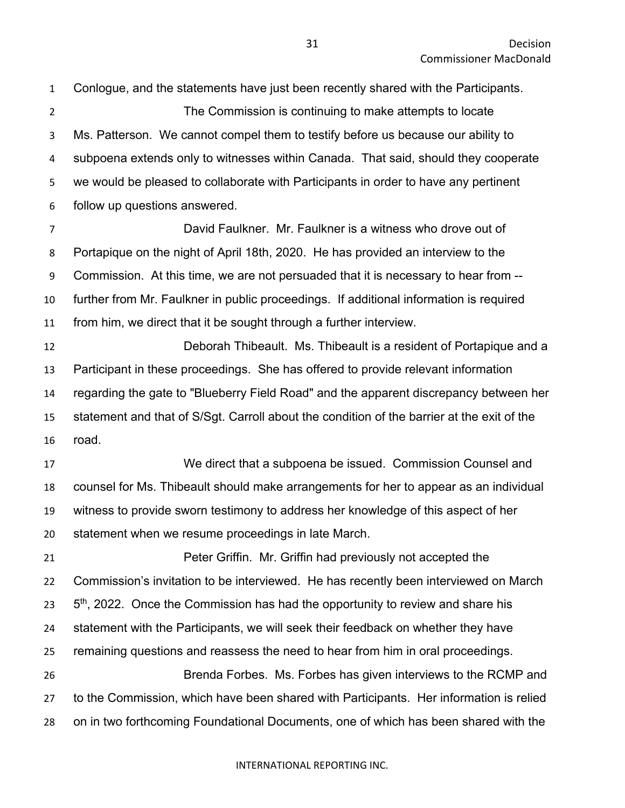Conlogue, and the statements have just been recently shared with the Participants. The Commission is continuing to make attempts to locate Ms. Patterson. We cannot compel them to testify before us because our ability to subpoena extends only to witnesses within Canada. That said, should they cooperate we would be pleased to collaborate with Participants in order to have any pertinent follow up questions answered. David Faulkner. Mr. Faulkner is a witness who drove out of Portapique on the night of April 18th, 2020. He has provided an interview to the Commission. At this time, we are not persuaded that it is necessary to hear from -- further from Mr. Faulkner in public proceedings. If additional information is required from him, we direct that it be sought through a further interview. Deborah Thibeault. Ms. Thibeault is a resident of Portapique and a Participant in these proceedings. She has offered to provide relevant information

 regarding the gate to "Blueberry Field Road" and the apparent discrepancy between her statement and that of S/Sgt. Carroll about the condition of the barrier at the exit of the road.

 We direct that a subpoena be issued. Commission Counsel and counsel for Ms. Thibeault should make arrangements for her to appear as an individual witness to provide sworn testimony to address her knowledge of this aspect of her statement when we resume proceedings in late March.

 Peter Griffin. Mr. Griffin had previously not accepted the Commission's invitation to be interviewed. He has recently been interviewed on March  $5<sup>th</sup>$ , 2022. Once the Commission has had the opportunity to review and share his statement with the Participants, we will seek their feedback on whether they have remaining questions and reassess the need to hear from him in oral proceedings. Brenda Forbes. Ms. Forbes has given interviews to the RCMP and to the Commission, which have been shared with Participants. Her information is relied on in two forthcoming Foundational Documents, one of which has been shared with the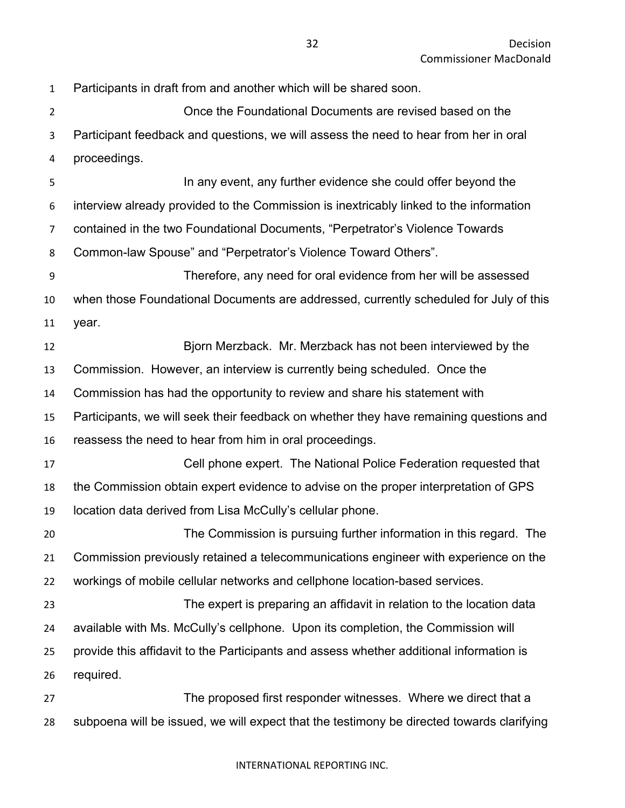Participants in draft from and another which will be shared soon. Once the Foundational Documents are revised based on the Participant feedback and questions, we will assess the need to hear from her in oral proceedings. In any event, any further evidence she could offer beyond the interview already provided to the Commission is inextricably linked to the information contained in the two Foundational Documents, "Perpetrator's Violence Towards Common-law Spouse" and "Perpetrator's Violence Toward Others". Therefore, any need for oral evidence from her will be assessed when those Foundational Documents are addressed, currently scheduled for July of this year. Bjorn Merzback. Mr. Merzback has not been interviewed by the Commission. However, an interview is currently being scheduled. Once the Commission has had the opportunity to review and share his statement with Participants, we will seek their feedback on whether they have remaining questions and reassess the need to hear from him in oral proceedings. Cell phone expert. The National Police Federation requested that the Commission obtain expert evidence to advise on the proper interpretation of GPS location data derived from Lisa McCully's cellular phone. The Commission is pursuing further information in this regard. The Commission previously retained a telecommunications engineer with experience on the workings of mobile cellular networks and cellphone location-based services. The expert is preparing an affidavit in relation to the location data available with Ms. McCully's cellphone. Upon its completion, the Commission will provide this affidavit to the Participants and assess whether additional information is required. The proposed first responder witnesses. Where we direct that a subpoena will be issued, we will expect that the testimony be directed towards clarifying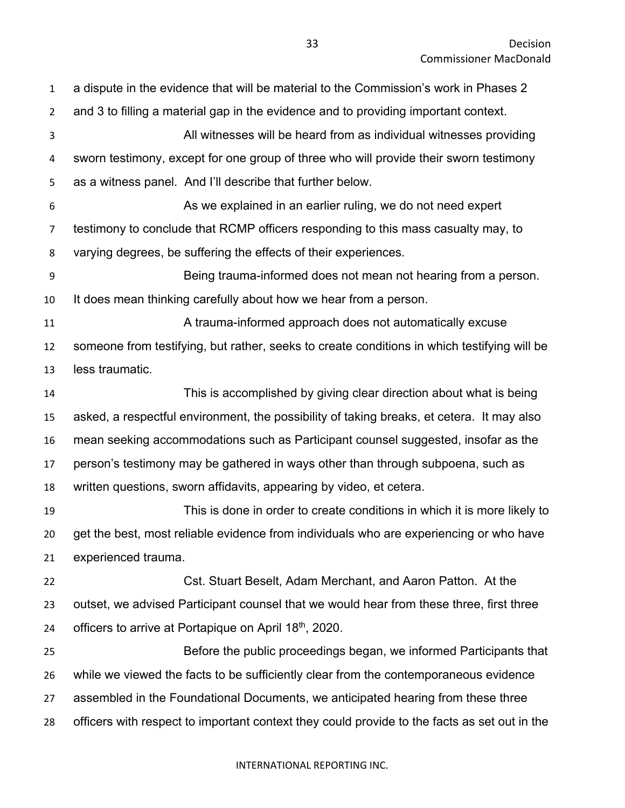a dispute in the evidence that will be material to the Commission's work in Phases 2 and 3 to filling a material gap in the evidence and to providing important context. All witnesses will be heard from as individual witnesses providing sworn testimony, except for one group of three who will provide their sworn testimony as a witness panel. And I'll describe that further below. As we explained in an earlier ruling, we do not need expert testimony to conclude that RCMP officers responding to this mass casualty may, to varying degrees, be suffering the effects of their experiences. Being trauma-informed does not mean not hearing from a person. It does mean thinking carefully about how we hear from a person. A trauma-informed approach does not automatically excuse someone from testifying, but rather, seeks to create conditions in which testifying will be less traumatic. This is accomplished by giving clear direction about what is being asked, a respectful environment, the possibility of taking breaks, et cetera. It may also mean seeking accommodations such as Participant counsel suggested, insofar as the person's testimony may be gathered in ways other than through subpoena, such as written questions, sworn affidavits, appearing by video, et cetera. This is done in order to create conditions in which it is more likely to get the best, most reliable evidence from individuals who are experiencing or who have experienced trauma. Cst. Stuart Beselt, Adam Merchant, and Aaron Patton. At the outset, we advised Participant counsel that we would hear from these three, first three 24 officers to arrive at Portapique on April  $18<sup>th</sup>$ , 2020. Before the public proceedings began, we informed Participants that while we viewed the facts to be sufficiently clear from the contemporaneous evidence assembled in the Foundational Documents, we anticipated hearing from these three officers with respect to important context they could provide to the facts as set out in the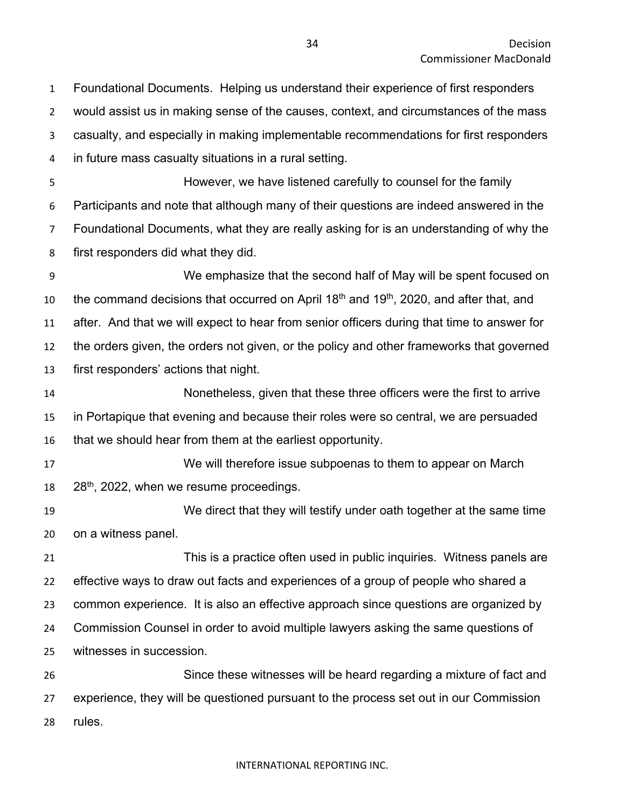Foundational Documents. Helping us understand their experience of first responders would assist us in making sense of the causes, context, and circumstances of the mass casualty, and especially in making implementable recommendations for first responders in future mass casualty situations in a rural setting.

 However, we have listened carefully to counsel for the family Participants and note that although many of their questions are indeed answered in the Foundational Documents, what they are really asking for is an understanding of why the first responders did what they did.

 We emphasize that the second half of May will be spent focused on 10 the command decisions that occurred on April  $18<sup>th</sup>$  and  $19<sup>th</sup>$ , 2020, and after that, and after. And that we will expect to hear from senior officers during that time to answer for the orders given, the orders not given, or the policy and other frameworks that governed first responders' actions that night.

 Nonetheless, given that these three officers were the first to arrive in Portapique that evening and because their roles were so central, we are persuaded that we should hear from them at the earliest opportunity.

 We will therefore issue subpoenas to them to appear on March  $28<sup>th</sup>$ , 2022, when we resume proceedings.

 We direct that they will testify under oath together at the same time on a witness panel.

 This is a practice often used in public inquiries. Witness panels are effective ways to draw out facts and experiences of a group of people who shared a common experience. It is also an effective approach since questions are organized by Commission Counsel in order to avoid multiple lawyers asking the same questions of witnesses in succession.

 Since these witnesses will be heard regarding a mixture of fact and experience, they will be questioned pursuant to the process set out in our Commission rules.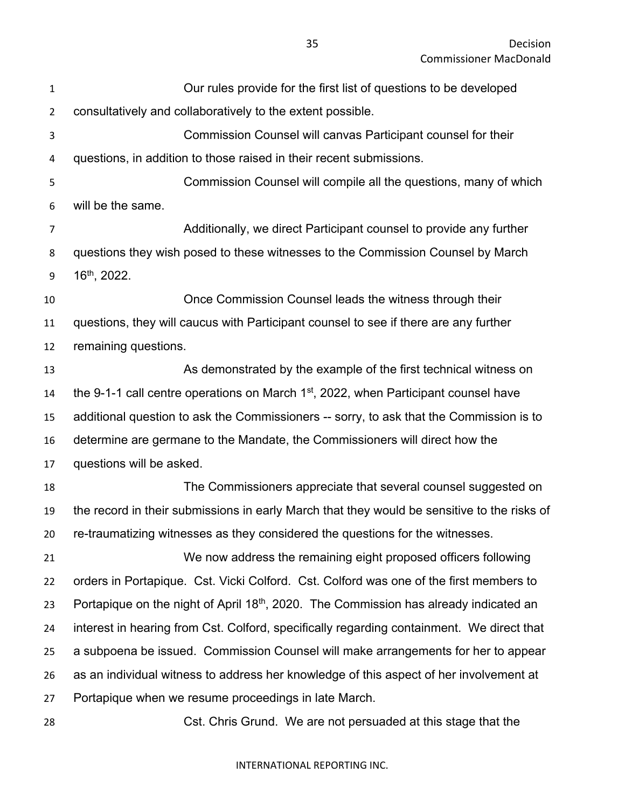| $\mathbf 1$    | Our rules provide for the first list of questions to be developed                                 |
|----------------|---------------------------------------------------------------------------------------------------|
| $\overline{2}$ | consultatively and collaboratively to the extent possible.                                        |
| 3              | Commission Counsel will canvas Participant counsel for their                                      |
| 4              | questions, in addition to those raised in their recent submissions.                               |
| 5              | Commission Counsel will compile all the questions, many of which                                  |
| 6              | will be the same.                                                                                 |
| $\overline{7}$ | Additionally, we direct Participant counsel to provide any further                                |
| 8              | questions they wish posed to these witnesses to the Commission Counsel by March                   |
| 9              | $16th$ , 2022.                                                                                    |
| 10             | Once Commission Counsel leads the witness through their                                           |
| 11             | questions, they will caucus with Participant counsel to see if there are any further              |
| 12             | remaining questions.                                                                              |
| 13             | As demonstrated by the example of the first technical witness on                                  |
| 14             | the 9-1-1 call centre operations on March 1 <sup>st</sup> , 2022, when Participant counsel have   |
| 15             | additional question to ask the Commissioners -- sorry, to ask that the Commission is to           |
| 16             | determine are germane to the Mandate, the Commissioners will direct how the                       |
| 17             | questions will be asked.                                                                          |
| 18             | The Commissioners appreciate that several counsel suggested on                                    |
| 19             | the record in their submissions in early March that they would be sensitive to the risks of       |
| 20             | re-traumatizing witnesses as they considered the questions for the witnesses.                     |
| 21             | We now address the remaining eight proposed officers following                                    |
| 22             | orders in Portapique. Cst. Vicki Colford. Cst. Colford was one of the first members to            |
| 23             | Portapique on the night of April 18 <sup>th</sup> , 2020. The Commission has already indicated an |
| 24             | interest in hearing from Cst. Colford, specifically regarding containment. We direct that         |
| 25             | a subpoena be issued. Commission Counsel will make arrangements for her to appear                 |
| 26             | as an individual witness to address her knowledge of this aspect of her involvement at            |
| 27             | Portapique when we resume proceedings in late March.                                              |
| 28             | Cst. Chris Grund. We are not persuaded at this stage that the                                     |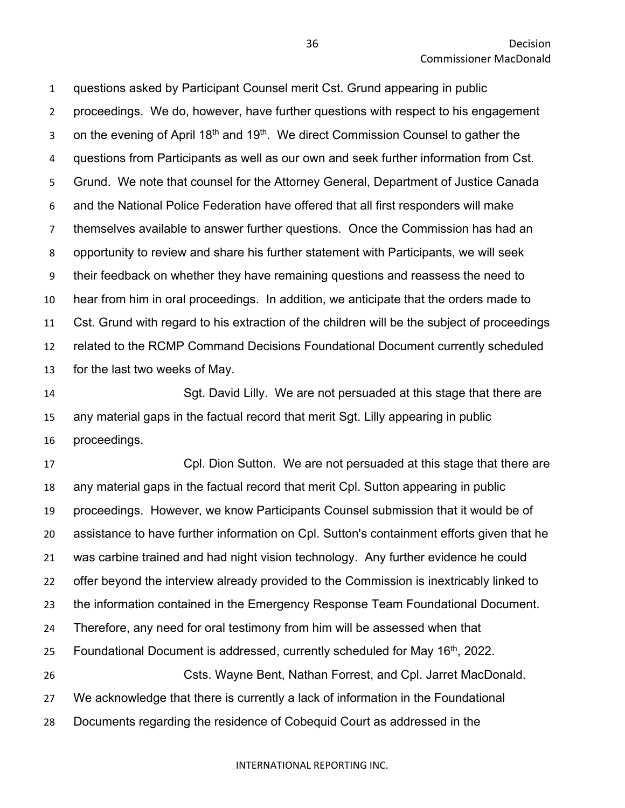questions asked by Participant Counsel merit Cst. Grund appearing in public proceedings. We do, however, have further questions with respect to his engagement 3 on the evening of April 18<sup>th</sup> and 19<sup>th</sup>. We direct Commission Counsel to gather the questions from Participants as well as our own and seek further information from Cst. Grund. We note that counsel for the Attorney General, Department of Justice Canada and the National Police Federation have offered that all first responders will make themselves available to answer further questions. Once the Commission has had an opportunity to review and share his further statement with Participants, we will seek their feedback on whether they have remaining questions and reassess the need to hear from him in oral proceedings. In addition, we anticipate that the orders made to Cst. Grund with regard to his extraction of the children will be the subject of proceedings related to the RCMP Command Decisions Foundational Document currently scheduled for the last two weeks of May.

 Sgt. David Lilly. We are not persuaded at this stage that there are any material gaps in the factual record that merit Sgt. Lilly appearing in public proceedings.

 Cpl. Dion Sutton. We are not persuaded at this stage that there are any material gaps in the factual record that merit Cpl. Sutton appearing in public proceedings. However, we know Participants Counsel submission that it would be of assistance to have further information on Cpl. Sutton's containment efforts given that he was carbine trained and had night vision technology. Any further evidence he could offer beyond the interview already provided to the Commission is inextricably linked to the information contained in the Emergency Response Team Foundational Document. Therefore, any need for oral testimony from him will be assessed when that 25 Foundational Document is addressed, currently scheduled for May  $16<sup>th</sup>$ , 2022. Csts. Wayne Bent, Nathan Forrest, and Cpl. Jarret MacDonald. We acknowledge that there is currently a lack of information in the Foundational Documents regarding the residence of Cobequid Court as addressed in the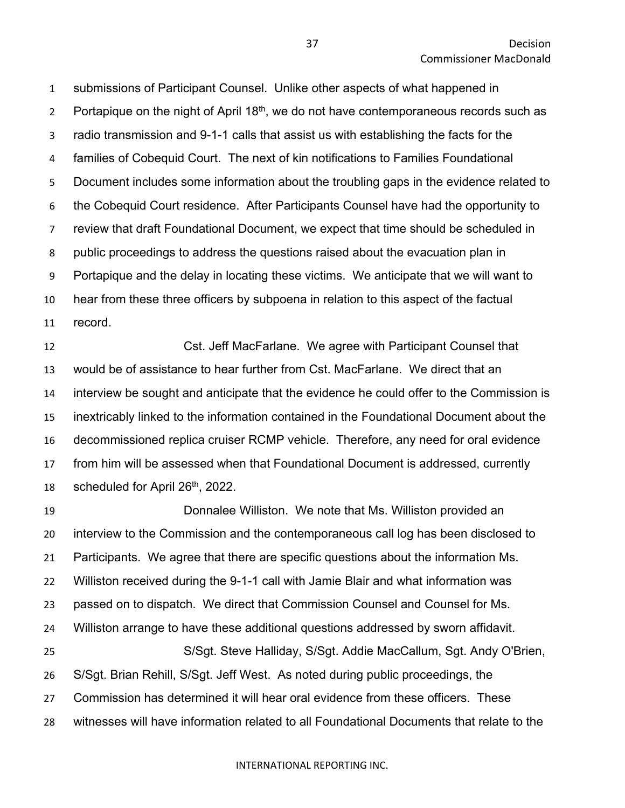submissions of Participant Counsel. Unlike other aspects of what happened in 2 Portapique on the night of April  $18<sup>th</sup>$ , we do not have contemporaneous records such as radio transmission and 9-1-1 calls that assist us with establishing the facts for the families of Cobequid Court. The next of kin notifications to Families Foundational Document includes some information about the troubling gaps in the evidence related to the Cobequid Court residence. After Participants Counsel have had the opportunity to review that draft Foundational Document, we expect that time should be scheduled in public proceedings to address the questions raised about the evacuation plan in Portapique and the delay in locating these victims. We anticipate that we will want to hear from these three officers by subpoena in relation to this aspect of the factual record.

 Cst. Jeff MacFarlane. We agree with Participant Counsel that would be of assistance to hear further from Cst. MacFarlane. We direct that an interview be sought and anticipate that the evidence he could offer to the Commission is inextricably linked to the information contained in the Foundational Document about the decommissioned replica cruiser RCMP vehicle. Therefore, any need for oral evidence from him will be assessed when that Foundational Document is addressed, currently 18 scheduled for April  $26<sup>th</sup>$ , 2022.

 Donnalee Williston. We note that Ms. Williston provided an interview to the Commission and the contemporaneous call log has been disclosed to Participants. We agree that there are specific questions about the information Ms. Williston received during the 9-1-1 call with Jamie Blair and what information was passed on to dispatch. We direct that Commission Counsel and Counsel for Ms. Williston arrange to have these additional questions addressed by sworn affidavit. S/Sgt. Steve Halliday, S/Sgt. Addie MacCallum, Sgt. Andy O'Brien, S/Sgt. Brian Rehill, S/Sgt. Jeff West. As noted during public proceedings, the Commission has determined it will hear oral evidence from these officers. These witnesses will have information related to all Foundational Documents that relate to the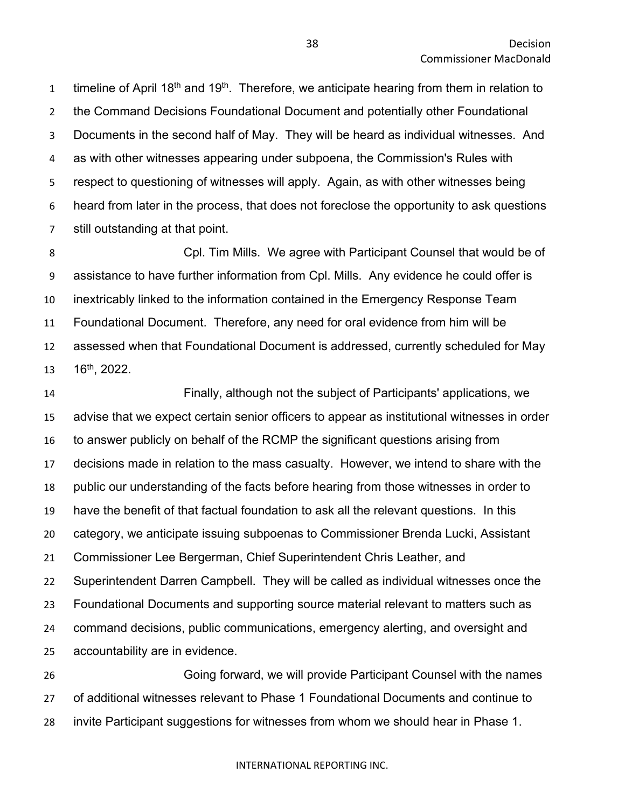1 timeline of April 18<sup>th</sup> and 19<sup>th</sup>. Therefore, we anticipate hearing from them in relation to the Command Decisions Foundational Document and potentially other Foundational Documents in the second half of May. They will be heard as individual witnesses. And as with other witnesses appearing under subpoena, the Commission's Rules with respect to questioning of witnesses will apply. Again, as with other witnesses being heard from later in the process, that does not foreclose the opportunity to ask questions still outstanding at that point.

 Cpl. Tim Mills. We agree with Participant Counsel that would be of assistance to have further information from Cpl. Mills. Any evidence he could offer is inextricably linked to the information contained in the Emergency Response Team Foundational Document. Therefore, any need for oral evidence from him will be assessed when that Foundational Document is addressed, currently scheduled for May  $16^{th}$ , 2022.

 Finally, although not the subject of Participants' applications, we advise that we expect certain senior officers to appear as institutional witnesses in order to answer publicly on behalf of the RCMP the significant questions arising from decisions made in relation to the mass casualty. However, we intend to share with the public our understanding of the facts before hearing from those witnesses in order to have the benefit of that factual foundation to ask all the relevant questions. In this category, we anticipate issuing subpoenas to Commissioner Brenda Lucki, Assistant Commissioner Lee Bergerman, Chief Superintendent Chris Leather, and Superintendent Darren Campbell. They will be called as individual witnesses once the Foundational Documents and supporting source material relevant to matters such as command decisions, public communications, emergency alerting, and oversight and accountability are in evidence.

 Going forward, we will provide Participant Counsel with the names of additional witnesses relevant to Phase 1 Foundational Documents and continue to invite Participant suggestions for witnesses from whom we should hear in Phase 1.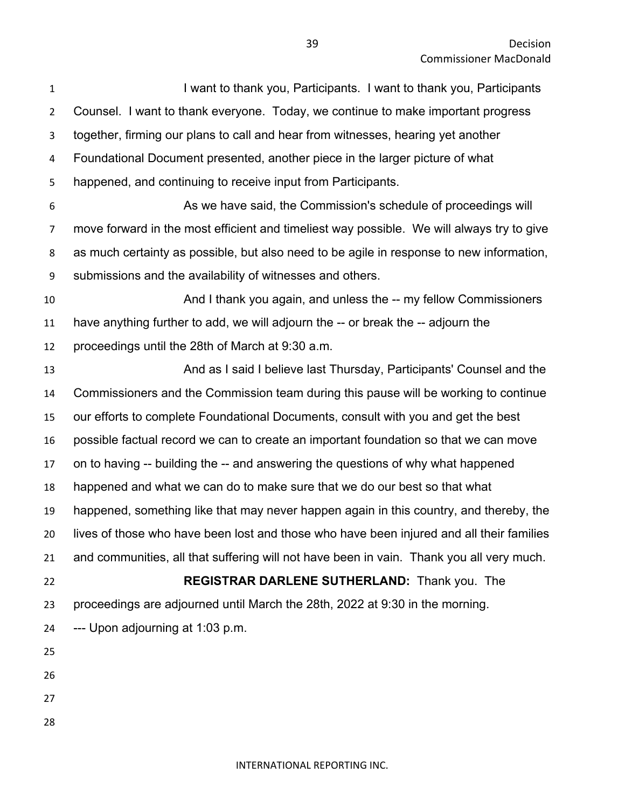| $\mathbf{1}$   | I want to thank you, Participants. I want to thank you, Participants                      |
|----------------|-------------------------------------------------------------------------------------------|
| $\overline{2}$ | Counsel. I want to thank everyone. Today, we continue to make important progress          |
| 3              | together, firming our plans to call and hear from witnesses, hearing yet another          |
| 4              | Foundational Document presented, another piece in the larger picture of what              |
| 5              | happened, and continuing to receive input from Participants.                              |
| 6              | As we have said, the Commission's schedule of proceedings will                            |
| 7              | move forward in the most efficient and timeliest way possible. We will always try to give |
| 8              | as much certainty as possible, but also need to be agile in response to new information,  |
| 9              | submissions and the availability of witnesses and others.                                 |
| 10             | And I thank you again, and unless the -- my fellow Commissioners                          |
| 11             | have anything further to add, we will adjourn the -- or break the -- adjourn the          |
| 12             | proceedings until the 28th of March at 9:30 a.m.                                          |
| 13             | And as I said I believe last Thursday, Participants' Counsel and the                      |
| 14             | Commissioners and the Commission team during this pause will be working to continue       |
| 15             | our efforts to complete Foundational Documents, consult with you and get the best         |
| 16             | possible factual record we can to create an important foundation so that we can move      |
| 17             | on to having -- building the -- and answering the questions of why what happened          |
| 18             | happened and what we can do to make sure that we do our best so that what                 |
| 19             | happened, something like that may never happen again in this country, and thereby, the    |
| 20             | lives of those who have been lost and those who have been injured and all their families  |
| 21             | and communities, all that suffering will not have been in vain. Thank you all very much.  |
| 22             | REGISTRAR DARLENE SUTHERLAND: Thank you. The                                              |
| 23             | proceedings are adjourned until March the 28th, 2022 at 9:30 in the morning.              |
| 24             | --- Upon adjourning at 1:03 p.m.                                                          |
| 25             |                                                                                           |
| 26             |                                                                                           |
| 27             |                                                                                           |
| 28             |                                                                                           |